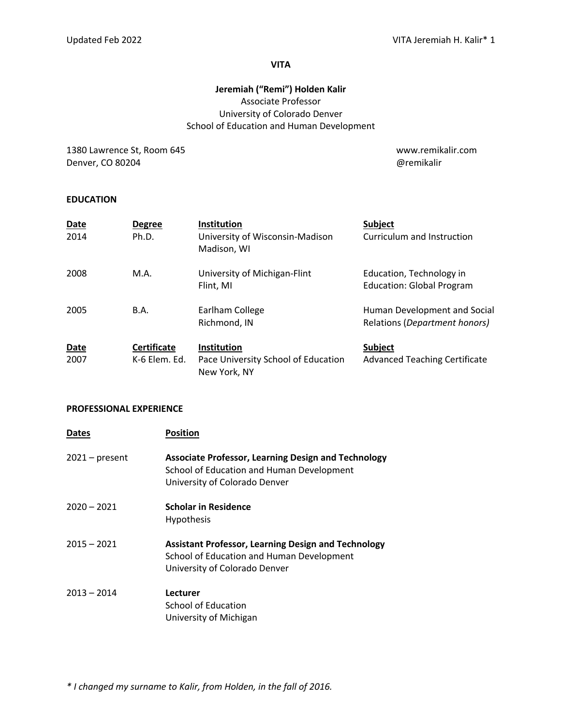#### **VITA**

# **Jeremiah ("Remi") Holden Kalir** Associate Professor University of Colorado Denver School of Education and Human Development

1380 Lawrence St, Room 645 www.remikalir.com Denver, CO 80204 **Denverse CO 80204 and 2012 @remikalir @remikalir** 

### **EDUCATION**

| <b>Date</b><br>2014 | <b>Degree</b><br>Ph.D.              | Institution<br>University of Wisconsin-Madison<br>Madison, WI             | <b>Subject</b><br>Curriculum and Instruction                  |
|---------------------|-------------------------------------|---------------------------------------------------------------------------|---------------------------------------------------------------|
| 2008                | M.A.                                | University of Michigan-Flint<br>Flint, MI                                 | Education, Technology in<br><b>Education: Global Program</b>  |
| 2005                | <b>B.A.</b>                         | Earlham College<br>Richmond, IN                                           | Human Development and Social<br>Relations (Department honors) |
| <b>Date</b><br>2007 | <b>Certificate</b><br>K-6 Elem. Ed. | <b>Institution</b><br>Pace University School of Education<br>New York, NY | <b>Subject</b><br><b>Advanced Teaching Certificate</b>        |

#### **PROFESSIONAL EXPERIENCE**

| <b>Dates</b>     | <b>Position</b>                                                                                                                          |
|------------------|------------------------------------------------------------------------------------------------------------------------------------------|
| $2021 - present$ | <b>Associate Professor, Learning Design and Technology</b><br>School of Education and Human Development<br>University of Colorado Denver |
| $2020 - 2021$    | <b>Scholar in Residence</b><br>Hypothesis                                                                                                |
| $2015 - 2021$    | <b>Assistant Professor, Learning Design and Technology</b><br>School of Education and Human Development<br>University of Colorado Denver |
| $2013 - 2014$    | Lecturer<br>School of Education<br>University of Michigan                                                                                |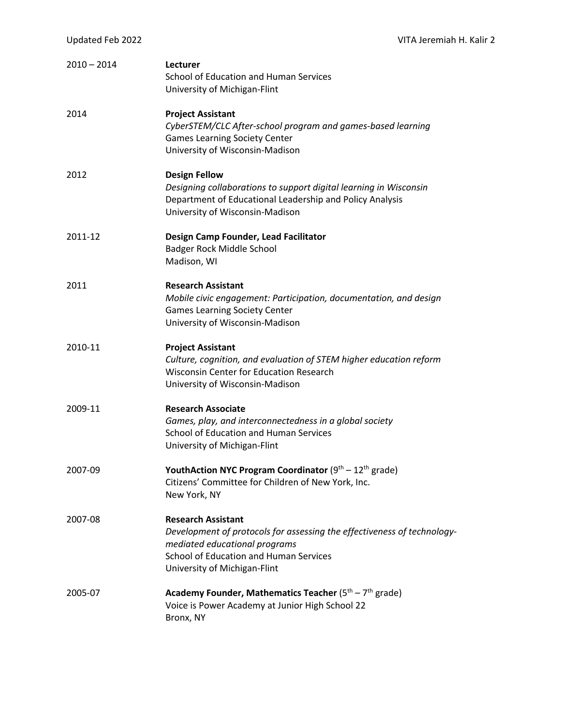| $2010 - 2014$ | Lecturer<br>School of Education and Human Services<br>University of Michigan-Flint                                                                                                                              |
|---------------|-----------------------------------------------------------------------------------------------------------------------------------------------------------------------------------------------------------------|
| 2014          | <b>Project Assistant</b><br>CyberSTEM/CLC After-school program and games-based learning<br><b>Games Learning Society Center</b><br>University of Wisconsin-Madison                                              |
| 2012          | <b>Design Fellow</b><br>Designing collaborations to support digital learning in Wisconsin<br>Department of Educational Leadership and Policy Analysis<br>University of Wisconsin-Madison                        |
| 2011-12       | Design Camp Founder, Lead Facilitator<br>Badger Rock Middle School<br>Madison, WI                                                                                                                               |
| 2011          | <b>Research Assistant</b><br>Mobile civic engagement: Participation, documentation, and design<br><b>Games Learning Society Center</b><br>University of Wisconsin-Madison                                       |
| 2010-11       | <b>Project Assistant</b><br>Culture, cognition, and evaluation of STEM higher education reform<br><b>Wisconsin Center for Education Research</b><br>University of Wisconsin-Madison                             |
| 2009-11       | <b>Research Associate</b><br>Games, play, and interconnectedness in a global society<br>School of Education and Human Services<br>University of Michigan-Flint                                                  |
| 2007-09       | <b>YouthAction NYC Program Coordinator</b> ( $9th - 12th$ grade)<br>Citizens' Committee for Children of New York, Inc.<br>New York, NY                                                                          |
| 2007-08       | <b>Research Assistant</b><br>Development of protocols for assessing the effectiveness of technology-<br>mediated educational programs<br>School of Education and Human Services<br>University of Michigan-Flint |
| 2005-07       | Academy Founder, Mathematics Teacher ( $5th - 7th$ grade)<br>Voice is Power Academy at Junior High School 22<br>Bronx, NY                                                                                       |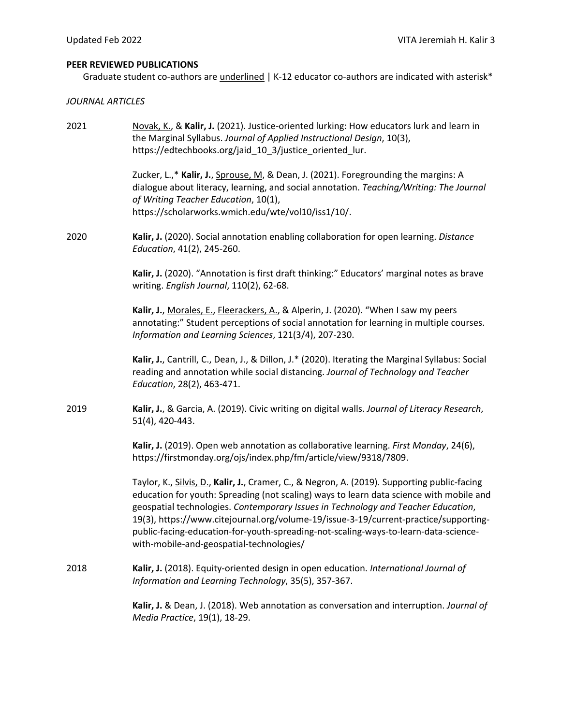### **PEER REVIEWED PUBLICATIONS**

Graduate student co-authors are *underlined* | K-12 educator co-authors are indicated with asterisk\*

### *JOURNAL ARTICLES*

| 2021 | Novak, K., & Kalir, J. (2021). Justice-oriented lurking: How educators lurk and learn in<br>the Marginal Syllabus. Journal of Applied Instructional Design, 10(3),<br>https://edtechbooks.org/jaid 10 3/justice oriented lur.                                                                                                                                                                                                                                                                           |
|------|---------------------------------------------------------------------------------------------------------------------------------------------------------------------------------------------------------------------------------------------------------------------------------------------------------------------------------------------------------------------------------------------------------------------------------------------------------------------------------------------------------|
|      | Zucker, L.,* Kalir, J., Sprouse, M, & Dean, J. (2021). Foregrounding the margins: A<br>dialogue about literacy, learning, and social annotation. Teaching/Writing: The Journal<br>of Writing Teacher Education, 10(1),<br>https://scholarworks.wmich.edu/wte/vol10/iss1/10/.                                                                                                                                                                                                                            |
| 2020 | Kalir, J. (2020). Social annotation enabling collaboration for open learning. Distance<br>Education, 41(2), 245-260.                                                                                                                                                                                                                                                                                                                                                                                    |
|      | Kalir, J. (2020). "Annotation is first draft thinking:" Educators' marginal notes as brave<br>writing. English Journal, 110(2), 62-68.                                                                                                                                                                                                                                                                                                                                                                  |
|      | Kalir, J., Morales, E., Fleerackers, A., & Alperin, J. (2020). "When I saw my peers<br>annotating:" Student perceptions of social annotation for learning in multiple courses.<br>Information and Learning Sciences, 121(3/4), 207-230.                                                                                                                                                                                                                                                                 |
|      | Kalir, J., Cantrill, C., Dean, J., & Dillon, J.* (2020). Iterating the Marginal Syllabus: Social<br>reading and annotation while social distancing. Journal of Technology and Teacher<br>Education, 28(2), 463-471.                                                                                                                                                                                                                                                                                     |
| 2019 | Kalir, J., & Garcia, A. (2019). Civic writing on digital walls. Journal of Literacy Research,<br>51(4), 420-443.                                                                                                                                                                                                                                                                                                                                                                                        |
|      | Kalir, J. (2019). Open web annotation as collaborative learning. First Monday, 24(6),<br>https://firstmonday.org/ojs/index.php/fm/article/view/9318/7809.                                                                                                                                                                                                                                                                                                                                               |
|      | Taylor, K., Silvis, D., Kalir, J., Cramer, C., & Negron, A. (2019). Supporting public-facing<br>education for youth: Spreading (not scaling) ways to learn data science with mobile and<br>geospatial technologies. Contemporary Issues in Technology and Teacher Education,<br>19(3), https://www.citejournal.org/volume-19/issue-3-19/current-practice/supporting-<br>public-facing-education-for-youth-spreading-not-scaling-ways-to-learn-data-science-<br>with-mobile-and-geospatial-technologies/ |
| 2018 | Kalir, J. (2018). Equity-oriented design in open education. International Journal of<br>Information and Learning Technology, 35(5), 357-367.                                                                                                                                                                                                                                                                                                                                                            |
|      | Kalir, J. & Dean, J. (2018). Web annotation as conversation and interruption. Journal of<br>Media Practice, 19(1), 18-29.                                                                                                                                                                                                                                                                                                                                                                               |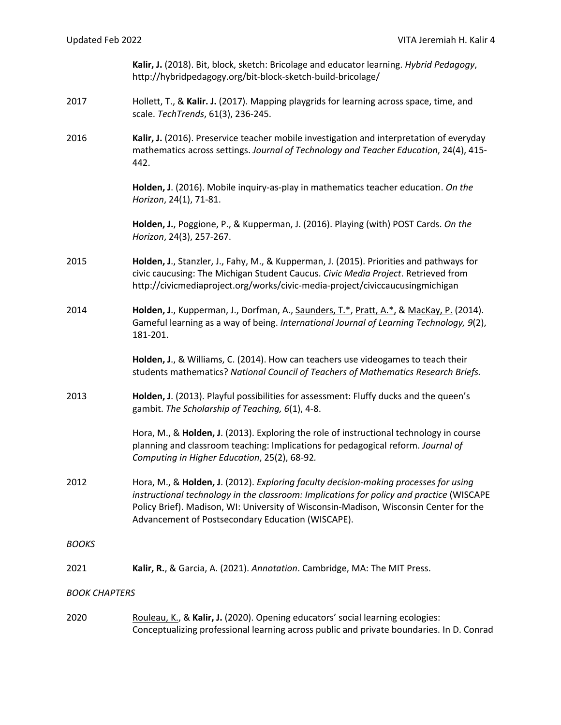**Kalir, J.** (2018). Bit, block, sketch: Bricolage and educator learning. *Hybrid Pedagogy*, http://hybridpedagogy.org/bit-block-sketch-build-bricolage/

- 2017 Hollett, T., & **Kalir. J.** (2017). Mapping playgrids for learning across space, time, and scale. *TechTrends*, 61(3), 236-245.
- 2016 **Kalir, J.** (2016). Preservice teacher mobile investigation and interpretation of everyday mathematics across settings. *Journal of Technology and Teacher Education*, 24(4), 415- 442.

**Holden, J**. (2016). Mobile inquiry-as-play in mathematics teacher education. *On the Horizon*, 24(1), 71-81.

**Holden, J.**, Poggione, P., & Kupperman, J. (2016). Playing (with) POST Cards. *On the Horizon*, 24(3), 257-267.

- 2015 **Holden, J**., Stanzler, J., Fahy, M., & Kupperman, J. (2015). Priorities and pathways for civic caucusing: The Michigan Student Caucus. *Civic Media Project*. Retrieved from http://civicmediaproject.org/works/civic-media-project/civiccaucusingmichigan
- 2014 **Holden, J**., Kupperman, J., Dorfman, A., Saunders, T.\*, Pratt, A.\*, & MacKay, P. (2014). Gameful learning as a way of being. *International Journal of Learning Technology, 9*(2), 181-201.

**Holden, J**., & Williams, C. (2014). How can teachers use videogames to teach their students mathematics? *National Council of Teachers of Mathematics Research Briefs.*

2013 **Holden, J**. (2013). Playful possibilities for assessment: Fluffy ducks and the queen's gambit. *The Scholarship of Teaching, 6*(1), 4-8.

> Hora, M., & **Holden, J**. (2013). Exploring the role of instructional technology in course planning and classroom teaching: Implications for pedagogical reform. *Journal of Computing in Higher Education*, 25(2), 68-92*.*

2012 Hora, M., & **Holden, J**. (2012). *Exploring faculty decision-making processes for using instructional technology in the classroom: Implications for policy and practice* (WISCAPE Policy Brief). Madison, WI: University of Wisconsin-Madison, Wisconsin Center for the Advancement of Postsecondary Education (WISCAPE).

*BOOKS*

2021 **Kalir, R.**, & Garcia, A. (2021). *Annotation*. Cambridge, MA: The MIT Press.

*BOOK CHAPTERS*

2020 Rouleau, K., & **Kalir, J.** (2020). Opening educators' social learning ecologies: Conceptualizing professional learning across public and private boundaries. In D. Conrad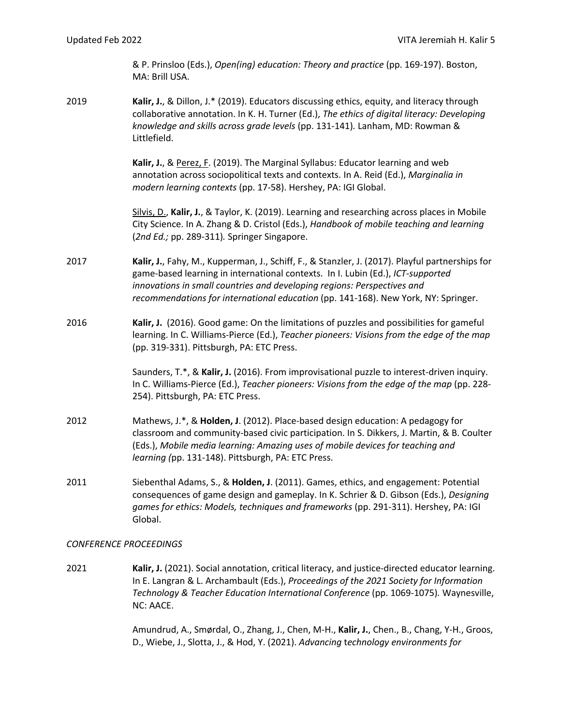& P. Prinsloo (Eds.), *Open(ing) education: Theory and practice* (pp. 169-197). Boston, MA: Brill USA.

2019 **Kalir, J.**, & Dillon, J.\* (2019). Educators discussing ethics, equity, and literacy through collaborative annotation. In K. H. Turner (Ed.), *The ethics of digital literacy: Developing knowledge and skills across grade levels* (pp. 131-141)*.* Lanham, MD: Rowman & Littlefield.

> Kalir, J., & Perez, F. (2019). The Marginal Syllabus: Educator learning and web annotation across sociopolitical texts and contexts. In A. Reid (Ed.), *Marginalia in modern learning contexts* (pp. 17-58). Hershey, PA: IGI Global.

Silvis, D., **Kalir, J.**, & Taylor, K. (2019). Learning and researching across places in Mobile City Science. In A. Zhang & D. Cristol (Eds.), *Handbook of mobile teaching and learning*  (*2nd Ed.;* pp. 289-311)*.* Springer Singapore.

- 2017 **Kalir, J.**, Fahy, M., Kupperman, J., Schiff, F., & Stanzler, J. (2017). Playful partnerships for game-based learning in international contexts. In I. Lubin (Ed.), *ICT-supported innovations in small countries and developing regions: Perspectives and recommendations for international education* (pp. 141-168). New York, NY: Springer.
- 2016 **Kalir, J.** (2016). Good game: On the limitations of puzzles and possibilities for gameful learning. In C. Williams-Pierce (Ed.), *Teacher pioneers: Visions from the edge of the map*  (pp. 319-331). Pittsburgh, PA: ETC Press.

Saunders, T.\*, & **Kalir, J.** (2016). From improvisational puzzle to interest-driven inquiry. In C. Williams-Pierce (Ed.), *Teacher pioneers: Visions from the edge of the map* (pp. 228- 254). Pittsburgh, PA: ETC Press.

- 2012 Mathews, J.\*, & **Holden, J**. (2012). Place-based design education: A pedagogy for classroom and community-based civic participation. In S. Dikkers, J. Martin, & B. Coulter (Eds.), *Mobile media learning: Amazing uses of mobile devices for teaching and learning (*pp. 131-148). Pittsburgh, PA: ETC Press.
- 2011 Siebenthal Adams, S., & **Holden, J**. (2011). Games, ethics, and engagement: Potential consequences of game design and gameplay. In K. Schrier & D. Gibson (Eds.), *Designing games for ethics: Models, techniques and frameworks* (pp. 291-311). Hershey, PA: IGI Global.

#### *CONFERENCE PROCEEDINGS*

2021 **Kalir, J.** (2021). Social annotation, critical literacy, and justice-directed educator learning. In E. Langran & L. Archambault (Eds.), *Proceedings of the 2021 Society for Information Technology & Teacher Education International Conference* (pp. 1069-1075)*.* Waynesville, NC: AACE.

> Amundrud, A., Smørdal, O., Zhang, J., Chen, M-H., **Kalir, J.**, Chen., B., Chang, Y-H., Groos, D., Wiebe, J., Slotta, J., & Hod, Y. (2021). *Advancing* t*echnology environments for*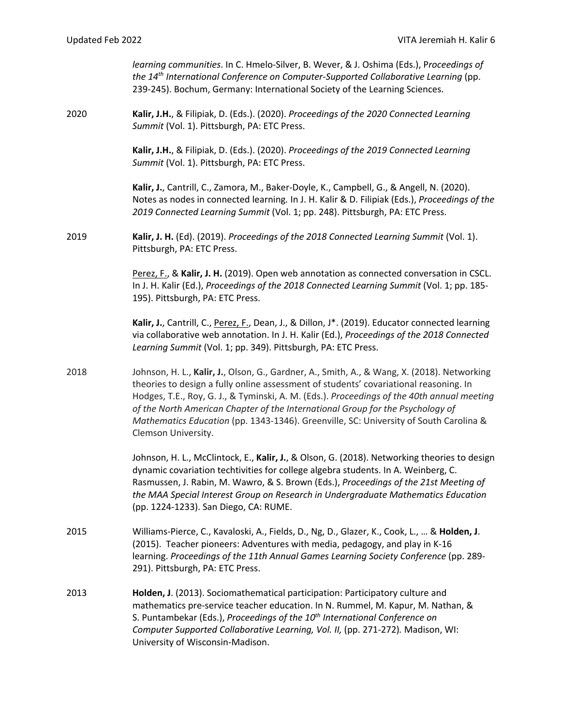*learning communities*. In C. Hmelo-Silver, B. Wever, & J. Oshima (Eds.), P*roceedings of the 14th International Conference on Computer-Supported Collaborative Learning* (pp. 239-245). Bochum, Germany: International Society of the Learning Sciences.

2020 **Kalir, J.H.**, & Filipiak, D. (Eds.). (2020). *Proceedings of the 2020 Connected Learning Summit* (Vol. 1). Pittsburgh, PA: ETC Press.

> **Kalir, J.H.**, & Filipiak, D. (Eds.). (2020). *Proceedings of the 2019 Connected Learning Summit* (Vol. 1). Pittsburgh, PA: ETC Press.

**Kalir, J.**, Cantrill, C., Zamora, M., Baker-Doyle, K., Campbell, G., & Angell, N. (2020). Notes as nodes in connected learning*.* In J. H. Kalir & D. Filipiak (Eds.), *Proceedings of the 2019 Connected Learning Summit* (Vol. 1; pp. 248). Pittsburgh, PA: ETC Press.

2019 **Kalir, J. H.** (Ed). (2019). *Proceedings of the 2018 Connected Learning Summit* (Vol. 1). Pittsburgh, PA: ETC Press.

> Perez, F., & **Kalir, J. H.** (2019). Open web annotation as connected conversation in CSCL. In J. H. Kalir (Ed.), *Proceedings of the 2018 Connected Learning Summit* (Vol. 1; pp. 185- 195). Pittsburgh, PA: ETC Press.

> **Kalir, J.**, Cantrill, C., Perez, F., Dean, J., & Dillon, J\*. (2019). Educator connected learning via collaborative web annotation. In J. H. Kalir (Ed.), *Proceedings of the 2018 Connected Learning Summit* (Vol. 1; pp. 349). Pittsburgh, PA: ETC Press.

2018 Johnson, H. L., **Kalir, J.**, Olson, G., Gardner, A., Smith, A., & Wang, X. (2018). Networking theories to design a fully online assessment of students' covariational reasoning. In Hodges, T.E., Roy, G. J., & Tyminski, A. M. (Eds.). *Proceedings of the 40th annual meeting of the North American Chapter of the International Group for the Psychology of Mathematics Education* (pp. 1343-1346). Greenville, SC: University of South Carolina & Clemson University.

> Johnson, H. L., McClintock, E., **Kalir, J.**, & Olson, G. (2018). Networking theories to design dynamic covariation techtivities for college algebra students. In A. Weinberg, C. Rasmussen, J. Rabin, M. Wawro, & S. Brown (Eds.), *Proceedings of the 21st Meeting of the MAA Special Interest Group on Research in Undergraduate Mathematics Education* (pp. 1224-1233). San Diego, CA: RUME.

- 2015 Williams-Pierce, C., Kavaloski, A., Fields, D., Ng, D., Glazer, K., Cook, L., … & **Holden, J**. (2015). Teacher pioneers: Adventures with media, pedagogy, and play in K-16 learning. *Proceedings of the 11th Annual Games Learning Society Conference* (pp. 289- 291). Pittsburgh, PA: ETC Press.
- 2013 **Holden, J**. (2013). Sociomathematical participation: Participatory culture and mathematics pre-service teacher education. In N. Rummel, M. Kapur, M. Nathan, & S. Puntambekar (Eds.), *Proceedings of the 10th International Conference on Computer Supported Collaborative Learning, Vol. II,* (pp. 271-272)*.* Madison, WI: University of Wisconsin-Madison.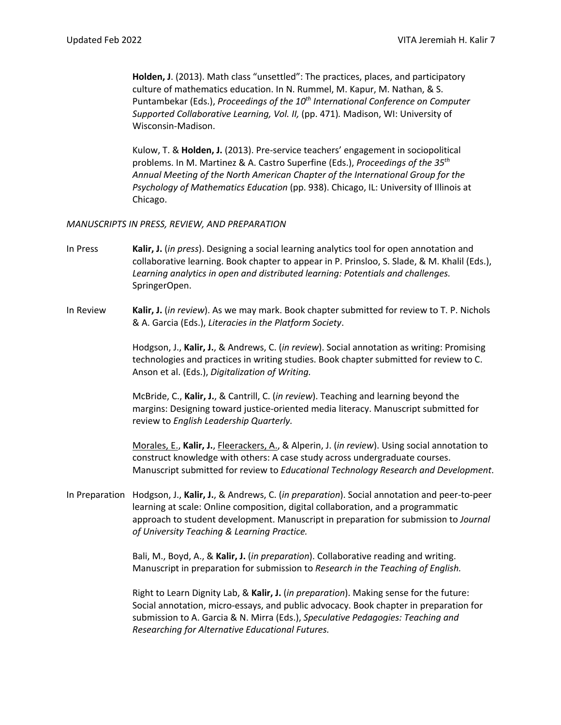**Holden, J**. (2013). Math class "unsettled": The practices, places, and participatory culture of mathematics education. In N. Rummel, M. Kapur, M. Nathan, & S. Puntambekar (Eds.), *Proceedings of the 10th International Conference on Computer Supported Collaborative Learning, Vol. II,* (pp. 471)*.* Madison, WI: University of Wisconsin-Madison.

Kulow, T. & **Holden, J.** (2013). Pre-service teachers' engagement in sociopolitical problems. In M. Martinez & A. Castro Superfine (Eds.), *Proceedings of the 35th Annual Meeting of the North American Chapter of the International Group for the Psychology of Mathematics Education* (pp. 938). Chicago, IL: University of Illinois at Chicago.

#### *MANUSCRIPTS IN PRESS, REVIEW, AND PREPARATION*

- In Press **Kalir, J.** (*in press*). Designing a social learning analytics tool for open annotation and collaborative learning. Book chapter to appear in P. Prinsloo, S. Slade, & M. Khalil (Eds.), *Learning analytics in open and distributed learning: Potentials and challenges.* SpringerOpen.
- In Review **Kalir, J.** (*in review*). As we may mark. Book chapter submitted for review to T. P. Nichols & A. Garcia (Eds.), *Literacies in the Platform Society*.

Hodgson, J., **Kalir, J.**, & Andrews, C. (*in review*). Social annotation as writing: Promising technologies and practices in writing studies. Book chapter submitted for review to C. Anson et al. (Eds.), *Digitalization of Writing.*

McBride, C., **Kalir, J.**, & Cantrill, C. (*in review*). Teaching and learning beyond the margins: Designing toward justice-oriented media literacy. Manuscript submitted for review to *English Leadership Quarterly.*

Morales, E., **Kalir, J.**, Fleerackers, A., & Alperin, J. (*in review*). Using social annotation to construct knowledge with others: A case study across undergraduate courses. Manuscript submitted for review to *Educational Technology Research and Development*.

In Preparation Hodgson, J., **Kalir, J.**, & Andrews, C. (*in preparation*). Social annotation and peer-to-peer learning at scale: Online composition, digital collaboration, and a programmatic approach to student development. Manuscript in preparation for submission to *Journal of University Teaching & Learning Practice.*

> Bali, M., Boyd, A., & **Kalir, J.** (*in preparation*). Collaborative reading and writing. Manuscript in preparation for submission to *Research in the Teaching of English.*

Right to Learn Dignity Lab, & **Kalir, J.** (*in preparation*). Making sense for the future: Social annotation, micro-essays, and public advocacy. Book chapter in preparation for submission to A. Garcia & N. Mirra (Eds.), *Speculative Pedagogies: Teaching and Researching for Alternative Educational Futures.*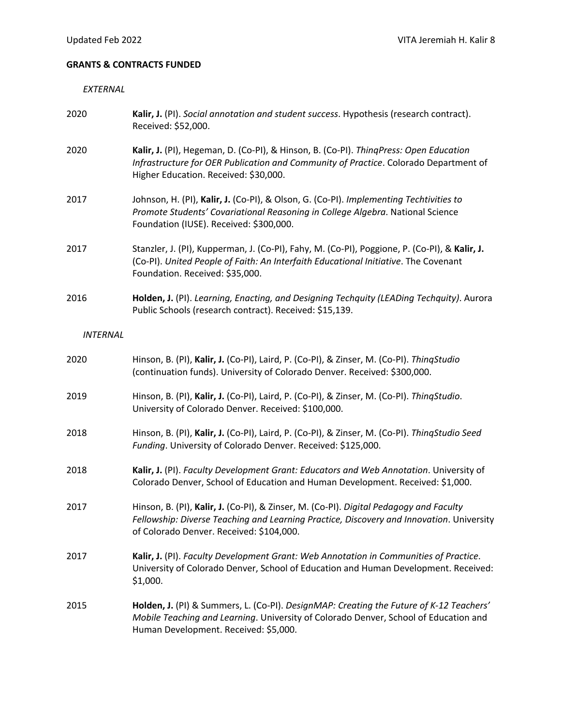# **GRANTS & CONTRACTS FUNDED**

# *EXTERNAL*

| 2020            | Kalir, J. (PI). Social annotation and student success. Hypothesis (research contract).<br>Received: \$52,000.                                                                                                                  |
|-----------------|--------------------------------------------------------------------------------------------------------------------------------------------------------------------------------------------------------------------------------|
| 2020            | Kalir, J. (PI), Hegeman, D. (Co-PI), & Hinson, B. (Co-PI). ThingPress: Open Education<br>Infrastructure for OER Publication and Community of Practice. Colorado Department of<br>Higher Education. Received: \$30,000.         |
| 2017            | Johnson, H. (PI), Kalir, J. (Co-PI), & Olson, G. (Co-PI). Implementing Techtivities to<br>Promote Students' Covariational Reasoning in College Algebra. National Science<br>Foundation (IUSE). Received: \$300,000.            |
| 2017            | Stanzler, J. (PI), Kupperman, J. (Co-PI), Fahy, M. (Co-PI), Poggione, P. (Co-PI), & Kalir, J.<br>(Co-PI). United People of Faith: An Interfaith Educational Initiative. The Covenant<br>Foundation. Received: \$35,000.        |
| 2016            | Holden, J. (PI). Learning, Enacting, and Designing Techquity (LEADing Techquity). Aurora<br>Public Schools (research contract). Received: \$15,139.                                                                            |
| <b>INTERNAL</b> |                                                                                                                                                                                                                                |
| 2020            | Hinson, B. (PI), Kalir, J. (Co-PI), Laird, P. (Co-PI), & Zinser, M. (Co-PI). ThingStudio<br>(continuation funds). University of Colorado Denver. Received: \$300,000.                                                          |
| 2019            | Hinson, B. (PI), Kalir, J. (Co-PI), Laird, P. (Co-PI), & Zinser, M. (Co-PI). ThingStudio.<br>University of Colorado Denver. Received: \$100,000.                                                                               |
| 2018            | Hinson, B. (PI), Kalir, J. (Co-PI), Laird, P. (Co-PI), & Zinser, M. (Co-PI). ThingStudio Seed<br>Funding. University of Colorado Denver. Received: \$125,000.                                                                  |
| 2018            | Kalir, J. (PI). Faculty Development Grant: Educators and Web Annotation. University of<br>Colorado Denver, School of Education and Human Development. Received: \$1,000.                                                       |
| 2017            | Hinson, B. (PI), Kalir, J. (Co-PI), & Zinser, M. (Co-PI). Digital Pedagogy and Faculty<br>Fellowship: Diverse Teaching and Learning Practice, Discovery and Innovation. University<br>of Colorado Denver. Received: \$104,000. |
| 2017            | Kalir, J. (PI). Faculty Development Grant: Web Annotation in Communities of Practice.<br>University of Colorado Denver, School of Education and Human Development. Received:<br>\$1,000.                                       |
| 2015            | Holden, J. (PI) & Summers, L. (Co-PI). DesignMAP: Creating the Future of K-12 Teachers'<br>Mobile Teaching and Learning. University of Colorado Denver, School of Education and<br>Human Development. Received: \$5,000.       |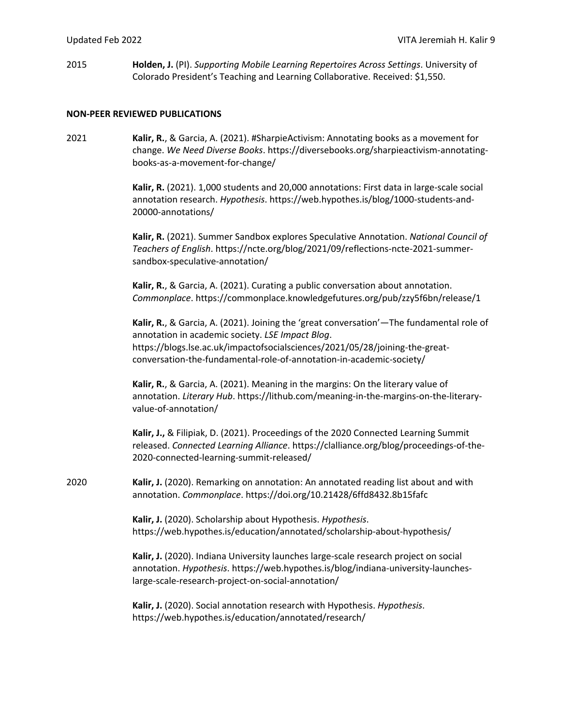2015 **Holden, J.** (PI). *Supporting Mobile Learning Repertoires Across Settings*. University of Colorado President's Teaching and Learning Collaborative. Received: \$1,550.

#### **NON-PEER REVIEWED PUBLICATIONS**

2021 **Kalir, R.**, & Garcia, A. (2021). #SharpieActivism: Annotating books as a movement for change. *We Need Diverse Books*. https://diversebooks.org/sharpieactivism-annotatingbooks-as-a-movement-for-change/

> **Kalir, R.** (2021). 1,000 students and 20,000 annotations: First data in large-scale social annotation research. *Hypothesis*. https://web.hypothes.is/blog/1000-students-and-20000-annotations/

**Kalir, R.** (2021). Summer Sandbox explores Speculative Annotation. *National Council of Teachers of English*. https://ncte.org/blog/2021/09/reflections-ncte-2021-summersandbox-speculative-annotation/

**Kalir, R.**, & Garcia, A. (2021). Curating a public conversation about annotation. *Commonplace*. https://commonplace.knowledgefutures.org/pub/zzy5f6bn/release/1

**Kalir, R.**, & Garcia, A. (2021). Joining the 'great conversation'—The fundamental role of annotation in academic society. *LSE Impact Blog*. https://blogs.lse.ac.uk/impactofsocialsciences/2021/05/28/joining-the-greatconversation-the-fundamental-role-of-annotation-in-academic-society/

**Kalir, R.**, & Garcia, A. (2021). Meaning in the margins: On the literary value of annotation. *Literary Hub*. https://lithub.com/meaning-in-the-margins-on-the-literaryvalue-of-annotation/

**Kalir, J.,** & Filipiak, D. (2021). Proceedings of the 2020 Connected Learning Summit released. *Connected Learning Alliance*. https://clalliance.org/blog/proceedings-of-the-2020-connected-learning-summit-released/

2020 **Kalir, J.** (2020). Remarking on annotation: An annotated reading list about and with annotation. *Commonplace*. https://doi.org/10.21428/6ffd8432.8b15fafc

> **Kalir, J.** (2020). Scholarship about Hypothesis. *Hypothesis*. https://web.hypothes.is/education/annotated/scholarship-about-hypothesis/

**Kalir, J.** (2020). Indiana University launches large-scale research project on social annotation. *Hypothesis*. https://web.hypothes.is/blog/indiana-university-launcheslarge-scale-research-project-on-social-annotation/

**Kalir, J.** (2020). Social annotation research with Hypothesis. *Hypothesis*. https://web.hypothes.is/education/annotated/research/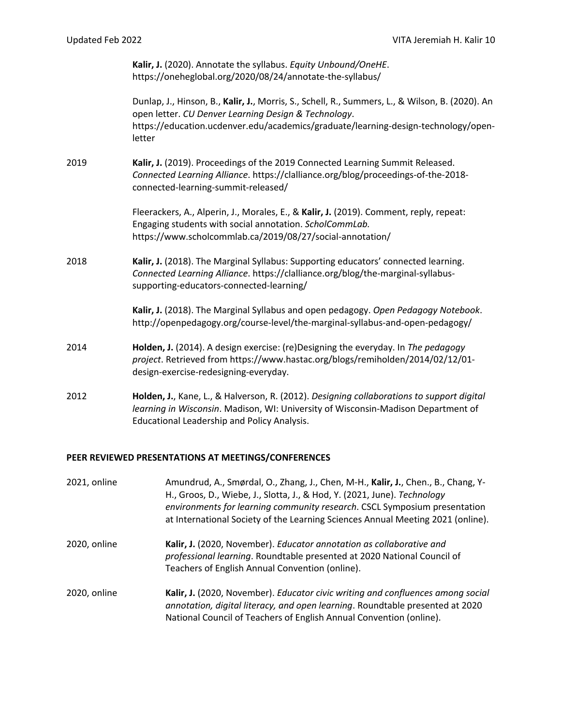**Kalir, J.** (2020). Annotate the syllabus. *Equity Unbound/OneHE*. https://oneheglobal.org/2020/08/24/annotate-the-syllabus/

Dunlap, J., Hinson, B., **Kalir, J.**, Morris, S., Schell, R., Summers, L., & Wilson, B. (2020). An open letter. *CU Denver Learning Design & Technology*. https://education.ucdenver.edu/academics/graduate/learning-design-technology/openletter

2019 **Kalir, J.** (2019). Proceedings of the 2019 Connected Learning Summit Released. *Connected Learning Alliance*. https://clalliance.org/blog/proceedings-of-the-2018 connected-learning-summit-released/

> Fleerackers, A., Alperin, J., Morales, E., & **Kalir, J.** (2019). Comment, reply, repeat: Engaging students with social annotation. *ScholCommLab.*  https://www.scholcommlab.ca/2019/08/27/social-annotation/

2018 **Kalir, J.** (2018). The Marginal Syllabus: Supporting educators' connected learning. *Connected Learning Alliance*. https://clalliance.org/blog/the-marginal-syllabussupporting-educators-connected-learning/

> **Kalir, J.** (2018). The Marginal Syllabus and open pedagogy. *Open Pedagogy Notebook*. http://openpedagogy.org/course-level/the-marginal-syllabus-and-open-pedagogy/

- 2014 **Holden, J.** (2014). A design exercise: (re)Designing the everyday. In *The pedagogy project*. Retrieved from https://www.hastac.org/blogs/remiholden/2014/02/12/01 design-exercise-redesigning-everyday.
- 2012 **Holden, J.**, Kane, L., & Halverson, R. (2012). *Designing collaborations to support digital learning in Wisconsin*. Madison, WI: University of Wisconsin-Madison Department of Educational Leadership and Policy Analysis.

#### **PEER REVIEWED PRESENTATIONS AT MEETINGS/CONFERENCES**

| 2021, online | Amundrud, A., Smørdal, O., Zhang, J., Chen, M-H., Kalir, J., Chen., B., Chang, Y-<br>H., Groos, D., Wiebe, J., Slotta, J., & Hod, Y. (2021, June). Technology<br>environments for learning community research. CSCL Symposium presentation<br>at International Society of the Learning Sciences Annual Meeting 2021 (online). |
|--------------|-------------------------------------------------------------------------------------------------------------------------------------------------------------------------------------------------------------------------------------------------------------------------------------------------------------------------------|
| 2020, online | Kalir, J. (2020, November). Educator annotation as collaborative and<br>professional learning. Roundtable presented at 2020 National Council of<br>Teachers of English Annual Convention (online).                                                                                                                            |
| 2020, online | Kalir, J. (2020, November). Educator civic writing and confluences among social<br>annotation, digital literacy, and open learning. Roundtable presented at 2020<br>National Council of Teachers of English Annual Convention (online).                                                                                       |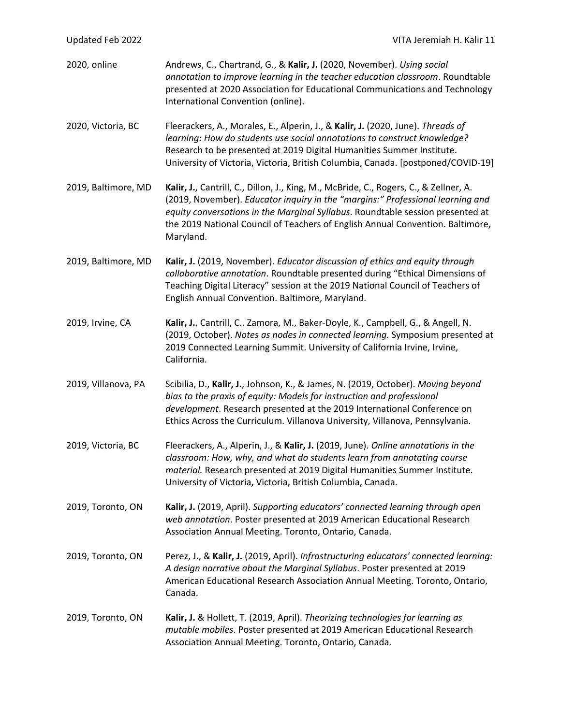| Updated Feb 2022    | VITA Jeremiah H. Kalir 11                                                                                                                                                                                                                                                                                                                                |
|---------------------|----------------------------------------------------------------------------------------------------------------------------------------------------------------------------------------------------------------------------------------------------------------------------------------------------------------------------------------------------------|
| 2020, online        | Andrews, C., Chartrand, G., & Kalir, J. (2020, November). Using social<br>annotation to improve learning in the teacher education classroom. Roundtable<br>presented at 2020 Association for Educational Communications and Technology<br>International Convention (online).                                                                             |
| 2020, Victoria, BC  | Fleerackers, A., Morales, E., Alperin, J., & Kalir, J. (2020, June). Threads of<br>learning: How do students use social annotations to construct knowledge?<br>Research to be presented at 2019 Digital Humanities Summer Institute.<br>University of Victoria, Victoria, British Columbia, Canada. [postponed/COVID-19]                                 |
| 2019, Baltimore, MD | Kalir, J., Cantrill, C., Dillon, J., King, M., McBride, C., Rogers, C., & Zellner, A.<br>(2019, November). Educator inquiry in the "margins:" Professional learning and<br>equity conversations in the Marginal Syllabus. Roundtable session presented at<br>the 2019 National Council of Teachers of English Annual Convention. Baltimore,<br>Maryland. |
| 2019, Baltimore, MD | Kalir, J. (2019, November). Educator discussion of ethics and equity through<br>collaborative annotation. Roundtable presented during "Ethical Dimensions of<br>Teaching Digital Literacy" session at the 2019 National Council of Teachers of<br>English Annual Convention. Baltimore, Maryland.                                                        |
| 2019, Irvine, CA    | Kalir, J., Cantrill, C., Zamora, M., Baker-Doyle, K., Campbell, G., & Angell, N.<br>(2019, October). Notes as nodes in connected learning. Symposium presented at<br>2019 Connected Learning Summit. University of California Irvine, Irvine,<br>California.                                                                                             |
| 2019, Villanova, PA | Scibilia, D., Kalir, J., Johnson, K., & James, N. (2019, October). Moving beyond<br>bias to the praxis of equity: Models for instruction and professional<br>development. Research presented at the 2019 International Conference on<br>Ethics Across the Curriculum. Villanova University, Villanova, Pennsylvania.                                     |
| 2019, Victoria, BC  | Fleerackers, A., Alperin, J., & Kalir, J. (2019, June). Online annotations in the<br>classroom: How, why, and what do students learn from annotating course<br>material. Research presented at 2019 Digital Humanities Summer Institute.<br>University of Victoria, Victoria, British Columbia, Canada.                                                  |
| 2019, Toronto, ON   | Kalir, J. (2019, April). Supporting educators' connected learning through open<br>web annotation. Poster presented at 2019 American Educational Research<br>Association Annual Meeting. Toronto, Ontario, Canada.                                                                                                                                        |
| 2019, Toronto, ON   | Perez, J., & Kalir, J. (2019, April). Infrastructuring educators' connected learning:<br>A design narrative about the Marginal Syllabus. Poster presented at 2019<br>American Educational Research Association Annual Meeting. Toronto, Ontario,<br>Canada.                                                                                              |
| 2019, Toronto, ON   | Kalir, J. & Hollett, T. (2019, April). Theorizing technologies for learning as<br>mutable mobiles. Poster presented at 2019 American Educational Research<br>Association Annual Meeting. Toronto, Ontario, Canada.                                                                                                                                       |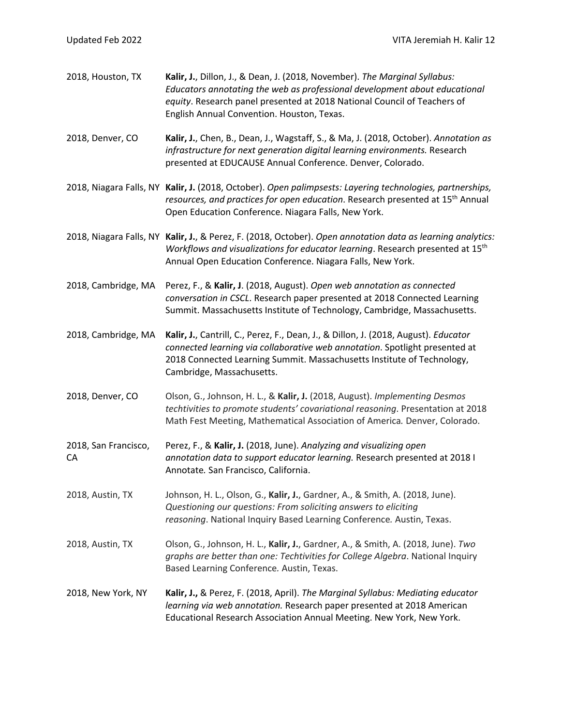| 2018, Houston, TX          | Kalir, J., Dillon, J., & Dean, J. (2018, November). The Marginal Syllabus:<br>Educators annotating the web as professional development about educational<br>equity. Research panel presented at 2018 National Council of Teachers of<br>English Annual Convention. Houston, Texas. |
|----------------------------|------------------------------------------------------------------------------------------------------------------------------------------------------------------------------------------------------------------------------------------------------------------------------------|
| 2018, Denver, CO           | Kalir, J., Chen, B., Dean, J., Wagstaff, S., & Ma, J. (2018, October). Annotation as<br>infrastructure for next generation digital learning environments. Research<br>presented at EDUCAUSE Annual Conference. Denver, Colorado.                                                   |
|                            | 2018, Niagara Falls, NY Kalir, J. (2018, October). Open palimpsests: Layering technologies, partnerships,<br>resources, and practices for open education. Research presented at 15 <sup>th</sup> Annual<br>Open Education Conference. Niagara Falls, New York.                     |
|                            | 2018, Niagara Falls, NY Kalir, J., & Perez, F. (2018, October). Open annotation data as learning analytics:<br>Workflows and visualizations for educator learning. Research presented at 15 <sup>th</sup><br>Annual Open Education Conference. Niagara Falls, New York.            |
| 2018, Cambridge, MA        | Perez, F., & Kalir, J. (2018, August). Open web annotation as connected<br>conversation in CSCL. Research paper presented at 2018 Connected Learning<br>Summit. Massachusetts Institute of Technology, Cambridge, Massachusetts.                                                   |
| 2018, Cambridge, MA        | Kalir, J., Cantrill, C., Perez, F., Dean, J., & Dillon, J. (2018, August). Educator<br>connected learning via collaborative web annotation. Spotlight presented at<br>2018 Connected Learning Summit. Massachusetts Institute of Technology,<br>Cambridge, Massachusetts.          |
| 2018, Denver, CO           | Olson, G., Johnson, H. L., & Kalir, J. (2018, August). Implementing Desmos<br>techtivities to promote students' covariational reasoning. Presentation at 2018<br>Math Fest Meeting, Mathematical Association of America. Denver, Colorado.                                         |
| 2018, San Francisco,<br>CA | Perez, F., & Kalir, J. (2018, June). Analyzing and visualizing open<br>annotation data to support educator learning. Research presented at 2018 I<br>Annotate. San Francisco, California.                                                                                          |
| 2018, Austin, TX           | Johnson, H. L., Olson, G., Kalir, J., Gardner, A., & Smith, A. (2018, June).<br>Questioning our questions: From soliciting answers to eliciting<br>reasoning. National Inquiry Based Learning Conference. Austin, Texas.                                                           |
| 2018, Austin, TX           | Olson, G., Johnson, H. L., Kalir, J., Gardner, A., & Smith, A. (2018, June). Two<br>graphs are better than one: Techtivities for College Algebra. National Inquiry<br>Based Learning Conference. Austin, Texas.                                                                    |
| 2018, New York, NY         | Kalir, J., & Perez, F. (2018, April). The Marginal Syllabus: Mediating educator<br>learning via web annotation. Research paper presented at 2018 American<br>Educational Research Association Annual Meeting. New York, New York.                                                  |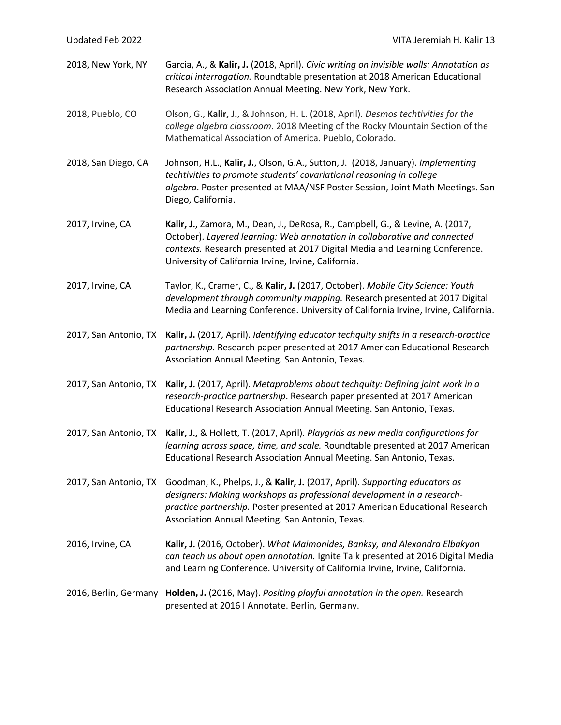| Updated Feb 2022      | VITA Jeremiah H. Kalir 13                                                                                                                                                                                                                                                                          |
|-----------------------|----------------------------------------------------------------------------------------------------------------------------------------------------------------------------------------------------------------------------------------------------------------------------------------------------|
| 2018, New York, NY    | Garcia, A., & Kalir, J. (2018, April). Civic writing on invisible walls: Annotation as<br>critical interrogation. Roundtable presentation at 2018 American Educational<br>Research Association Annual Meeting. New York, New York.                                                                 |
| 2018, Pueblo, CO      | Olson, G., Kalir, J., & Johnson, H. L. (2018, April). Desmos techtivities for the<br>college algebra classroom. 2018 Meeting of the Rocky Mountain Section of the<br>Mathematical Association of America. Pueblo, Colorado.                                                                        |
| 2018, San Diego, CA   | Johnson, H.L., Kalir, J., Olson, G.A., Sutton, J. (2018, January). Implementing<br>techtivities to promote students' covariational reasoning in college<br>algebra. Poster presented at MAA/NSF Poster Session, Joint Math Meetings. San<br>Diego, California.                                     |
| 2017, Irvine, CA      | Kalir, J., Zamora, M., Dean, J., DeRosa, R., Campbell, G., & Levine, A. (2017,<br>October). Layered learning: Web annotation in collaborative and connected<br>contexts. Research presented at 2017 Digital Media and Learning Conference.<br>University of California Irvine, Irvine, California. |
| 2017, Irvine, CA      | Taylor, K., Cramer, C., & Kalir, J. (2017, October). Mobile City Science: Youth<br>development through community mapping. Research presented at 2017 Digital<br>Media and Learning Conference. University of California Irvine, Irvine, California.                                                |
| 2017, San Antonio, TX | Kalir, J. (2017, April). Identifying educator techquity shifts in a research-practice<br>partnership. Research paper presented at 2017 American Educational Research<br>Association Annual Meeting. San Antonio, Texas.                                                                            |
| 2017, San Antonio, TX | Kalir, J. (2017, April). Metaproblems about techquity: Defining joint work in a<br>research-practice partnership. Research paper presented at 2017 American<br>Educational Research Association Annual Meeting. San Antonio, Texas.                                                                |
|                       | 2017, San Antonio, TX Kalir, J., & Hollett, T. (2017, April). Playgrids as new media configurations for<br>learning across space, time, and scale. Roundtable presented at 2017 American<br>Educational Research Association Annual Meeting. San Antonio, Texas.                                   |
| 2017, San Antonio, TX | Goodman, K., Phelps, J., & Kalir, J. (2017, April). Supporting educators as<br>designers: Making workshops as professional development in a research-<br>practice partnership. Poster presented at 2017 American Educational Research<br>Association Annual Meeting. San Antonio, Texas.           |
| 2016, Irvine, CA      | Kalir, J. (2016, October). What Maimonides, Banksy, and Alexandra Elbakyan<br>can teach us about open annotation. Ignite Talk presented at 2016 Digital Media<br>and Learning Conference. University of California Irvine, Irvine, California.                                                     |
| 2016, Berlin, Germany | Holden, J. (2016, May). Positing playful annotation in the open. Research<br>presented at 2016 I Annotate. Berlin, Germany.                                                                                                                                                                        |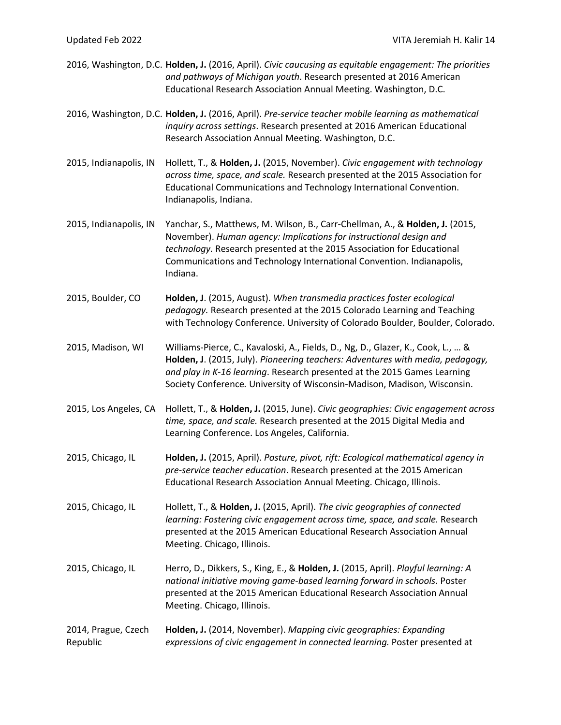|                                 | 2016, Washington, D.C. Holden, J. (2016, April). Civic caucusing as equitable engagement: The priorities<br>and pathways of Michigan youth. Research presented at 2016 American<br>Educational Research Association Annual Meeting. Washington, D.C.                                                                       |
|---------------------------------|----------------------------------------------------------------------------------------------------------------------------------------------------------------------------------------------------------------------------------------------------------------------------------------------------------------------------|
|                                 | 2016, Washington, D.C. Holden, J. (2016, April). Pre-service teacher mobile learning as mathematical<br>inquiry across settings. Research presented at 2016 American Educational<br>Research Association Annual Meeting. Washington, D.C.                                                                                  |
| 2015, Indianapolis, IN          | Hollett, T., & Holden, J. (2015, November). Civic engagement with technology<br>across time, space, and scale. Research presented at the 2015 Association for<br>Educational Communications and Technology International Convention.<br>Indianapolis, Indiana.                                                             |
| 2015, Indianapolis, IN          | Yanchar, S., Matthews, M. Wilson, B., Carr-Chellman, A., & Holden, J. (2015,<br>November). Human agency: Implications for instructional design and<br>technology. Research presented at the 2015 Association for Educational<br>Communications and Technology International Convention. Indianapolis,<br>Indiana.          |
| 2015, Boulder, CO               | Holden, J. (2015, August). When transmedia practices foster ecological<br>pedagogy. Research presented at the 2015 Colorado Learning and Teaching<br>with Technology Conference. University of Colorado Boulder, Boulder, Colorado.                                                                                        |
| 2015, Madison, WI               | Williams-Pierce, C., Kavaloski, A., Fields, D., Ng, D., Glazer, K., Cook, L.,  &<br>Holden, J. (2015, July). Pioneering teachers: Adventures with media, pedagogy,<br>and play in K-16 learning. Research presented at the 2015 Games Learning<br>Society Conference. University of Wisconsin-Madison, Madison, Wisconsin. |
| 2015, Los Angeles, CA           | Hollett, T., & Holden, J. (2015, June). Civic geographies: Civic engagement across<br>time, space, and scale. Research presented at the 2015 Digital Media and<br>Learning Conference. Los Angeles, California.                                                                                                            |
| 2015, Chicago, IL               | Holden, J. (2015, April). Posture, pivot, rift: Ecological mathematical agency in<br>pre-service teacher education. Research presented at the 2015 American<br>Educational Research Association Annual Meeting. Chicago, Illinois.                                                                                         |
| 2015, Chicago, IL               | Hollett, T., & Holden, J. (2015, April). The civic geographies of connected<br>learning: Fostering civic engagement across time, space, and scale. Research<br>presented at the 2015 American Educational Research Association Annual<br>Meeting. Chicago, Illinois.                                                       |
| 2015, Chicago, IL               | Herro, D., Dikkers, S., King, E., & Holden, J. (2015, April). Playful learning: A<br>national initiative moving game-based learning forward in schools. Poster<br>presented at the 2015 American Educational Research Association Annual<br>Meeting. Chicago, Illinois.                                                    |
| 2014, Prague, Czech<br>Republic | Holden, J. (2014, November). Mapping civic geographies: Expanding<br>expressions of civic engagement in connected learning. Poster presented at                                                                                                                                                                            |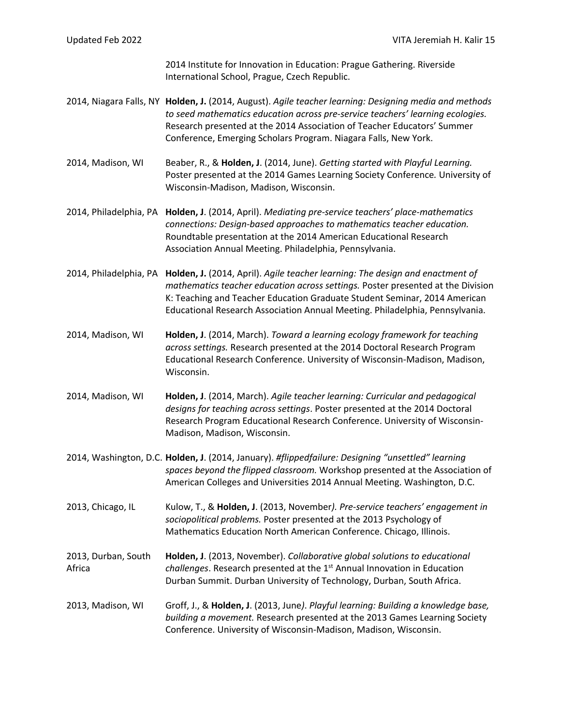2014 Institute for Innovation in Education: Prague Gathering. Riverside International School, Prague, Czech Republic.

- 2014, Niagara Falls, NY **Holden, J.** (2014, August). *Agile teacher learning: Designing media and methods to seed mathematics education across pre-service teachers' learning ecologies.* Research presented at the 2014 Association of Teacher Educators' Summer Conference, Emerging Scholars Program. Niagara Falls, New York.
- 2014, Madison, WI Beaber, R., & **Holden, J**. (2014, June). *Getting started with Playful Learning.*  Poster presented at the 2014 Games Learning Society Conference*.* University of Wisconsin-Madison, Madison, Wisconsin.
- 2014, Philadelphia, PA **Holden, J**. (2014, April). *Mediating pre-service teachers' place-mathematics connections: Design-based approaches to mathematics teacher education.* Roundtable presentation at the 2014 American Educational Research Association Annual Meeting. Philadelphia, Pennsylvania.

2014, Philadelphia, PA **Holden, J.** (2014, April). *Agile teacher learning: The design and enactment of mathematics teacher education across settings.* Poster presented at the Division K: Teaching and Teacher Education Graduate Student Seminar, 2014 American Educational Research Association Annual Meeting. Philadelphia, Pennsylvania.

- 2014, Madison, WI **Holden, J**. (2014, March). *Toward a learning ecology framework for teaching across settings.* Research presented at the 2014 Doctoral Research Program Educational Research Conference. University of Wisconsin-Madison, Madison, Wisconsin.
- 2014, Madison, WI **Holden, J**. (2014, March). *Agile teacher learning: Curricular and pedagogical designs for teaching across settings*. Poster presented at the 2014 Doctoral Research Program Educational Research Conference. University of Wisconsin-Madison, Madison, Wisconsin.
- 2014, Washington, D.C. **Holden, J**. (2014, January). *#flippedfailure: Designing "unsettled" learning spaces beyond the flipped classroom.* Workshop presented at the Association of American Colleges and Universities 2014 Annual Meeting. Washington, D.C.
- 2013, Chicago, IL Kulow, T., & **Holden, J**. (2013, November*). Pre-service teachers' engagement in sociopolitical problems.* Poster presented at the 2013 Psychology of Mathematics Education North American Conference. Chicago, Illinois.
- 2013, Durban, South **Holden, J**. (2013, November). *Collaborative global solutions to educational*  Africa *challenges*. Research presented at the 1st Annual Innovation in Education Durban Summit. Durban University of Technology, Durban, South Africa.
- 2013, Madison, WI Groff, J., & **Holden, J**. (2013, June*)*. *Playful learning: Building a knowledge base, building a movement.* Research presented at the 2013 Games Learning Society Conference. University of Wisconsin-Madison, Madison, Wisconsin.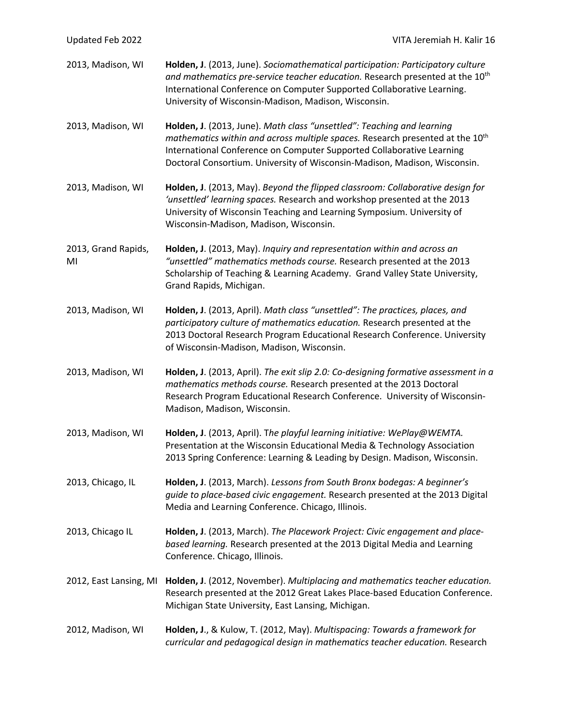| Updated Feb 2022          | VITA Jeremiah H. Kalir 16                                                                                                                                                                                                                                                                                                 |
|---------------------------|---------------------------------------------------------------------------------------------------------------------------------------------------------------------------------------------------------------------------------------------------------------------------------------------------------------------------|
| 2013, Madison, WI         | Holden, J. (2013, June). Sociomathematical participation: Participatory culture<br>and mathematics pre-service teacher education. Research presented at the 10 <sup>th</sup><br>International Conference on Computer Supported Collaborative Learning.<br>University of Wisconsin-Madison, Madison, Wisconsin.            |
| 2013, Madison, WI         | Holden, J. (2013, June). Math class "unsettled": Teaching and learning<br>mathematics within and across multiple spaces. Research presented at the 10 <sup>th</sup><br>International Conference on Computer Supported Collaborative Learning<br>Doctoral Consortium. University of Wisconsin-Madison, Madison, Wisconsin. |
| 2013, Madison, WI         | Holden, J. (2013, May). Beyond the flipped classroom: Collaborative design for<br>'unsettled' learning spaces. Research and workshop presented at the 2013<br>University of Wisconsin Teaching and Learning Symposium. University of<br>Wisconsin-Madison, Madison, Wisconsin.                                            |
| 2013, Grand Rapids,<br>MI | Holden, J. (2013, May). Inquiry and representation within and across an<br>"unsettled" mathematics methods course. Research presented at the 2013<br>Scholarship of Teaching & Learning Academy. Grand Valley State University,<br>Grand Rapids, Michigan.                                                                |
| 2013, Madison, WI         | Holden, J. (2013, April). Math class "unsettled": The practices, places, and<br>participatory culture of mathematics education. Research presented at the<br>2013 Doctoral Research Program Educational Research Conference. University<br>of Wisconsin-Madison, Madison, Wisconsin.                                      |
| 2013, Madison, WI         | Holden, J. (2013, April). The exit slip 2.0: Co-designing formative assessment in a<br>mathematics methods course. Research presented at the 2013 Doctoral<br>Research Program Educational Research Conference. University of Wisconsin-<br>Madison, Madison, Wisconsin.                                                  |
| 2013, Madison, WI         | Holden, J. (2013, April). The playful learning initiative: WePlay@WEMTA.<br>Presentation at the Wisconsin Educational Media & Technology Association<br>2013 Spring Conference: Learning & Leading by Design. Madison, Wisconsin.                                                                                         |
| 2013, Chicago, IL         | Holden, J. (2013, March). Lessons from South Bronx bodegas: A beginner's<br>guide to place-based civic engagement. Research presented at the 2013 Digital<br>Media and Learning Conference. Chicago, Illinois.                                                                                                            |
| 2013, Chicago IL          | Holden, J. (2013, March). The Placework Project: Civic engagement and place-<br>based learning. Research presented at the 2013 Digital Media and Learning<br>Conference. Chicago, Illinois.                                                                                                                               |
| 2012, East Lansing, MI    | Holden, J. (2012, November). Multiplacing and mathematics teacher education.<br>Research presented at the 2012 Great Lakes Place-based Education Conference.<br>Michigan State University, East Lansing, Michigan.                                                                                                        |
| 2012, Madison, WI         | Holden, J., & Kulow, T. (2012, May). Multispacing: Towards a framework for<br>curricular and pedagogical design in mathematics teacher education. Research                                                                                                                                                                |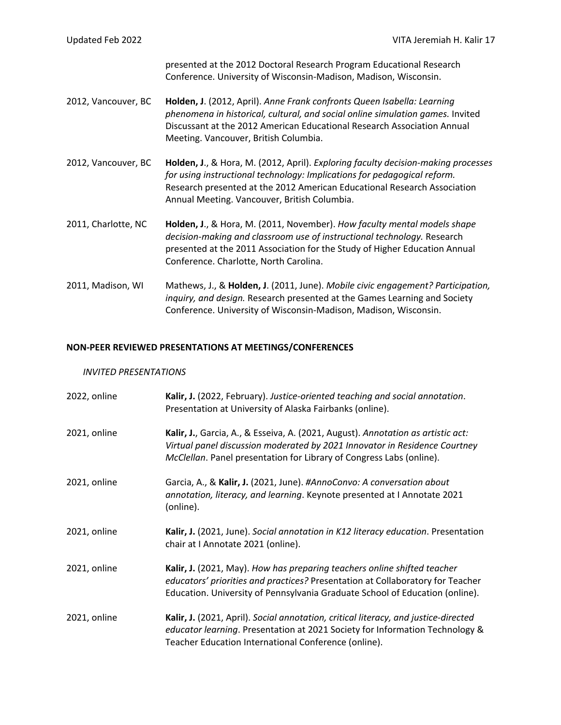presented at the 2012 Doctoral Research Program Educational Research Conference. University of Wisconsin-Madison, Madison, Wisconsin.

- 2012, Vancouver, BC **Holden, J**. (2012, April). *Anne Frank confronts Queen Isabella: Learning phenomena in historical, cultural, and social online simulation games.* Invited Discussant at the 2012 American Educational Research Association Annual Meeting. Vancouver, British Columbia.
- 2012, Vancouver, BC **Holden, J**., & Hora, M. (2012, April). *Exploring faculty decision-making processes for using instructional technology: Implications for pedagogical reform.* Research presented at the 2012 American Educational Research Association Annual Meeting. Vancouver, British Columbia.
- 2011, Charlotte, NC **Holden, J**., & Hora, M. (2011, November). *How faculty mental models shape decision-making and classroom use of instructional technology.* Research presented at the 2011 Association for the Study of Higher Education Annual Conference. Charlotte, North Carolina.
- 2011, Madison, WI Mathews, J., & **Holden, J**. (2011, June). *Mobile civic engagement? Participation, inquiry, and design.* Research presented at the Games Learning and Society Conference. University of Wisconsin-Madison, Madison, Wisconsin.

### **NON-PEER REVIEWED PRESENTATIONS AT MEETINGS/CONFERENCES**

#### *INVITED PRESENTATIONS*

| 2022, online | Kalir, J. (2022, February). Justice-oriented teaching and social annotation.<br>Presentation at University of Alaska Fairbanks (online).                                                                                                   |
|--------------|--------------------------------------------------------------------------------------------------------------------------------------------------------------------------------------------------------------------------------------------|
| 2021, online | Kalir, J., Garcia, A., & Esseiva, A. (2021, August). Annotation as artistic act:<br>Virtual panel discussion moderated by 2021 Innovator in Residence Courtney<br>McClellan. Panel presentation for Library of Congress Labs (online).     |
| 2021, online | Garcia, A., & Kalir, J. (2021, June). #AnnoConvo: A conversation about<br>annotation, literacy, and learning. Keynote presented at I Annotate 2021<br>(online).                                                                            |
| 2021, online | Kalir, J. (2021, June). Social annotation in K12 literacy education. Presentation<br>chair at I Annotate 2021 (online).                                                                                                                    |
| 2021, online | Kalir, J. (2021, May). How has preparing teachers online shifted teacher<br>educators' priorities and practices? Presentation at Collaboratory for Teacher<br>Education. University of Pennsylvania Graduate School of Education (online). |
| 2021, online | Kalir, J. (2021, April). Social annotation, critical literacy, and justice-directed<br>educator learning. Presentation at 2021 Society for Information Technology &<br>Teacher Education International Conference (online).                |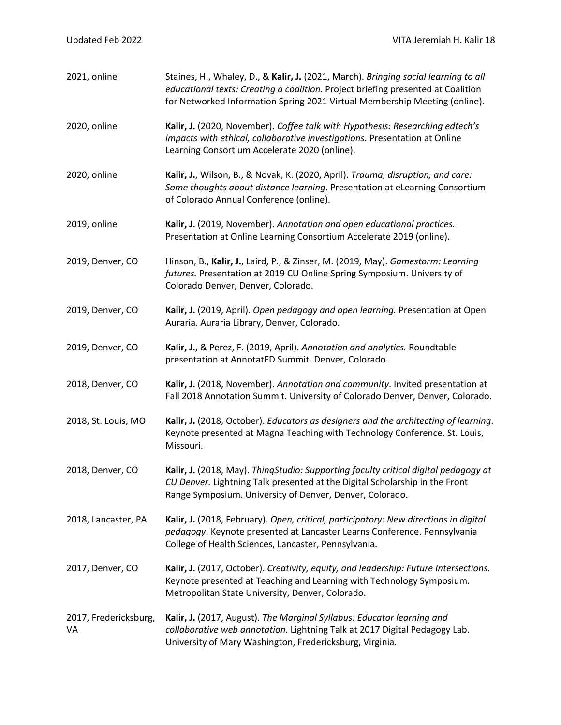| 2021, online                | Staines, H., Whaley, D., & Kalir, J. (2021, March). Bringing social learning to all<br>educational texts: Creating a coalition. Project briefing presented at Coalition<br>for Networked Information Spring 2021 Virtual Membership Meeting (online). |
|-----------------------------|-------------------------------------------------------------------------------------------------------------------------------------------------------------------------------------------------------------------------------------------------------|
| 2020, online                | Kalir, J. (2020, November). Coffee talk with Hypothesis: Researching edtech's<br>impacts with ethical, collaborative investigations. Presentation at Online<br>Learning Consortium Accelerate 2020 (online).                                          |
| 2020, online                | Kalir, J., Wilson, B., & Novak, K. (2020, April). Trauma, disruption, and care:<br>Some thoughts about distance learning. Presentation at eLearning Consortium<br>of Colorado Annual Conference (online).                                             |
| 2019, online                | Kalir, J. (2019, November). Annotation and open educational practices.<br>Presentation at Online Learning Consortium Accelerate 2019 (online).                                                                                                        |
| 2019, Denver, CO            | Hinson, B., Kalir, J., Laird, P., & Zinser, M. (2019, May). Gamestorm: Learning<br>futures. Presentation at 2019 CU Online Spring Symposium. University of<br>Colorado Denver, Denver, Colorado.                                                      |
| 2019, Denver, CO            | Kalir, J. (2019, April). Open pedagogy and open learning. Presentation at Open<br>Auraria. Auraria Library, Denver, Colorado.                                                                                                                         |
| 2019, Denver, CO            | Kalir, J., & Perez, F. (2019, April). Annotation and analytics. Roundtable<br>presentation at AnnotatED Summit. Denver, Colorado.                                                                                                                     |
| 2018, Denver, CO            | Kalir, J. (2018, November). Annotation and community. Invited presentation at<br>Fall 2018 Annotation Summit. University of Colorado Denver, Denver, Colorado.                                                                                        |
| 2018, St. Louis, MO         | Kalir, J. (2018, October). Educators as designers and the architecting of learning.<br>Keynote presented at Magna Teaching with Technology Conference. St. Louis,<br>Missouri.                                                                        |
| 2018, Denver, CO            | Kalir, J. (2018, May). ThingStudio: Supporting faculty critical digital pedagogy at<br>CU Denver. Lightning Talk presented at the Digital Scholarship in the Front<br>Range Symposium. University of Denver, Denver, Colorado.                        |
| 2018, Lancaster, PA         | Kalir, J. (2018, February). Open, critical, participatory: New directions in digital<br>pedagogy. Keynote presented at Lancaster Learns Conference. Pennsylvania<br>College of Health Sciences, Lancaster, Pennsylvania.                              |
| 2017, Denver, CO            | Kalir, J. (2017, October). Creativity, equity, and leadership: Future Intersections.<br>Keynote presented at Teaching and Learning with Technology Symposium.<br>Metropolitan State University, Denver, Colorado.                                     |
| 2017, Fredericksburg,<br>VA | Kalir, J. (2017, August). The Marginal Syllabus: Educator learning and<br>collaborative web annotation. Lightning Talk at 2017 Digital Pedagogy Lab.<br>University of Mary Washington, Fredericksburg, Virginia.                                      |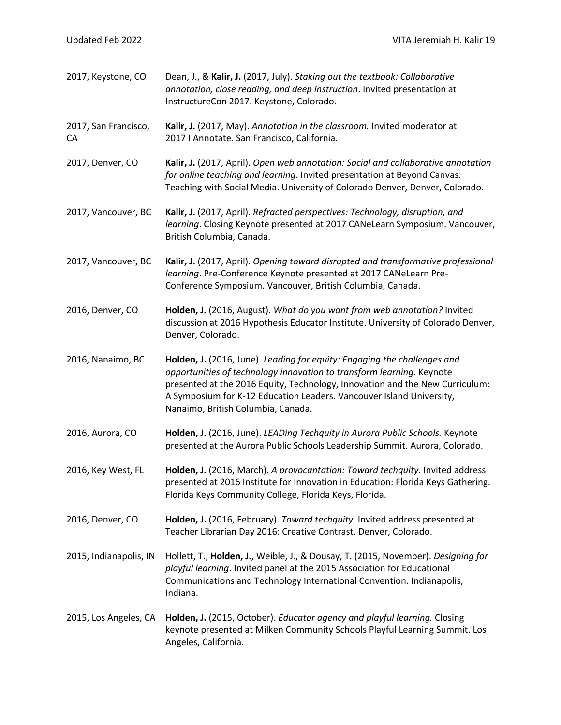| 2017, Keystone, CO         | Dean, J., & Kalir, J. (2017, July). Staking out the textbook: Collaborative<br>annotation, close reading, and deep instruction. Invited presentation at<br>InstructureCon 2017. Keystone, Colorado.                                                                                                                                             |
|----------------------------|-------------------------------------------------------------------------------------------------------------------------------------------------------------------------------------------------------------------------------------------------------------------------------------------------------------------------------------------------|
| 2017, San Francisco,<br>CA | Kalir, J. (2017, May). Annotation in the classroom. Invited moderator at<br>2017 I Annotate. San Francisco, California.                                                                                                                                                                                                                         |
| 2017, Denver, CO           | Kalir, J. (2017, April). Open web annotation: Social and collaborative annotation<br>for online teaching and learning. Invited presentation at Beyond Canvas:<br>Teaching with Social Media. University of Colorado Denver, Denver, Colorado.                                                                                                   |
| 2017, Vancouver, BC        | Kalir, J. (2017, April). Refracted perspectives: Technology, disruption, and<br>learning. Closing Keynote presented at 2017 CANeLearn Symposium. Vancouver,<br>British Columbia, Canada.                                                                                                                                                        |
| 2017, Vancouver, BC        | Kalir, J. (2017, April). Opening toward disrupted and transformative professional<br>learning. Pre-Conference Keynote presented at 2017 CANeLearn Pre-<br>Conference Symposium. Vancouver, British Columbia, Canada.                                                                                                                            |
| 2016, Denver, CO           | Holden, J. (2016, August). What do you want from web annotation? Invited<br>discussion at 2016 Hypothesis Educator Institute. University of Colorado Denver,<br>Denver, Colorado.                                                                                                                                                               |
| 2016, Nanaimo, BC          | Holden, J. (2016, June). Leading for equity: Engaging the challenges and<br>opportunities of technology innovation to transform learning. Keynote<br>presented at the 2016 Equity, Technology, Innovation and the New Curriculum:<br>A Symposium for K-12 Education Leaders. Vancouver Island University,<br>Nanaimo, British Columbia, Canada. |
| 2016, Aurora, CO           | Holden, J. (2016, June). LEADing Techquity in Aurora Public Schools. Keynote<br>presented at the Aurora Public Schools Leadership Summit. Aurora, Colorado.                                                                                                                                                                                     |
| 2016, Key West, FL         | Holden, J. (2016, March). A provocantation: Toward techquity. Invited address<br>presented at 2016 Institute for Innovation in Education: Florida Keys Gathering.<br>Florida Keys Community College, Florida Keys, Florida.                                                                                                                     |
| 2016, Denver, CO           | Holden, J. (2016, February). Toward techquity. Invited address presented at<br>Teacher Librarian Day 2016: Creative Contrast. Denver, Colorado.                                                                                                                                                                                                 |
| 2015, Indianapolis, IN     | Hollett, T., Holden, J., Weible, J., & Dousay, T. (2015, November). Designing for<br>playful learning. Invited panel at the 2015 Association for Educational<br>Communications and Technology International Convention. Indianapolis,<br>Indiana.                                                                                               |
| 2015, Los Angeles, CA      | Holden, J. (2015, October). Educator agency and playful learning. Closing<br>keynote presented at Milken Community Schools Playful Learning Summit. Los<br>Angeles, California.                                                                                                                                                                 |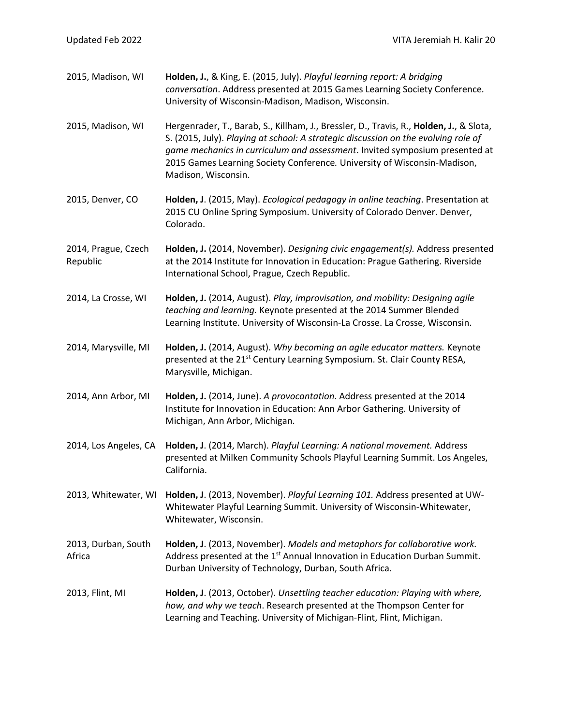| 2015, Madison, WI               | Holden, J., & King, E. (2015, July). Playful learning report: A bridging<br>conversation. Address presented at 2015 Games Learning Society Conference.<br>University of Wisconsin-Madison, Madison, Wisconsin.                                                                                                                                                  |
|---------------------------------|-----------------------------------------------------------------------------------------------------------------------------------------------------------------------------------------------------------------------------------------------------------------------------------------------------------------------------------------------------------------|
| 2015, Madison, WI               | Hergenrader, T., Barab, S., Killham, J., Bressler, D., Travis, R., Holden, J., & Slota,<br>S. (2015, July). Playing at school: A strategic discussion on the evolving role of<br>game mechanics in curriculum and assessment. Invited symposium presented at<br>2015 Games Learning Society Conference. University of Wisconsin-Madison,<br>Madison, Wisconsin. |
| 2015, Denver, CO                | Holden, J. (2015, May). Ecological pedagogy in online teaching. Presentation at<br>2015 CU Online Spring Symposium. University of Colorado Denver. Denver,<br>Colorado.                                                                                                                                                                                         |
| 2014, Prague, Czech<br>Republic | Holden, J. (2014, November). Designing civic engagement(s). Address presented<br>at the 2014 Institute for Innovation in Education: Prague Gathering. Riverside<br>International School, Prague, Czech Republic.                                                                                                                                                |
| 2014, La Crosse, WI             | Holden, J. (2014, August). Play, improvisation, and mobility: Designing agile<br>teaching and learning. Keynote presented at the 2014 Summer Blended<br>Learning Institute. University of Wisconsin-La Crosse. La Crosse, Wisconsin.                                                                                                                            |
| 2014, Marysville, MI            | Holden, J. (2014, August). Why becoming an agile educator matters. Keynote<br>presented at the 21 <sup>st</sup> Century Learning Symposium. St. Clair County RESA,<br>Marysville, Michigan.                                                                                                                                                                     |
| 2014, Ann Arbor, MI             | Holden, J. (2014, June). A provocantation. Address presented at the 2014<br>Institute for Innovation in Education: Ann Arbor Gathering. University of<br>Michigan, Ann Arbor, Michigan.                                                                                                                                                                         |
| 2014, Los Angeles, CA           | Holden, J. (2014, March). Playful Learning: A national movement. Address<br>presented at Milken Community Schools Playful Learning Summit. Los Angeles,<br>California.                                                                                                                                                                                          |
| 2013, Whitewater, WI            | Holden, J. (2013, November). Playful Learning 101. Address presented at UW-<br>Whitewater Playful Learning Summit. University of Wisconsin-Whitewater,<br>Whitewater, Wisconsin.                                                                                                                                                                                |
| 2013, Durban, South<br>Africa   | Holden, J. (2013, November). Models and metaphors for collaborative work.<br>Address presented at the 1 <sup>st</sup> Annual Innovation in Education Durban Summit.<br>Durban University of Technology, Durban, South Africa.                                                                                                                                   |
| 2013, Flint, MI                 | Holden, J. (2013, October). Unsettling teacher education: Playing with where,<br>how, and why we teach. Research presented at the Thompson Center for<br>Learning and Teaching. University of Michigan-Flint, Flint, Michigan.                                                                                                                                  |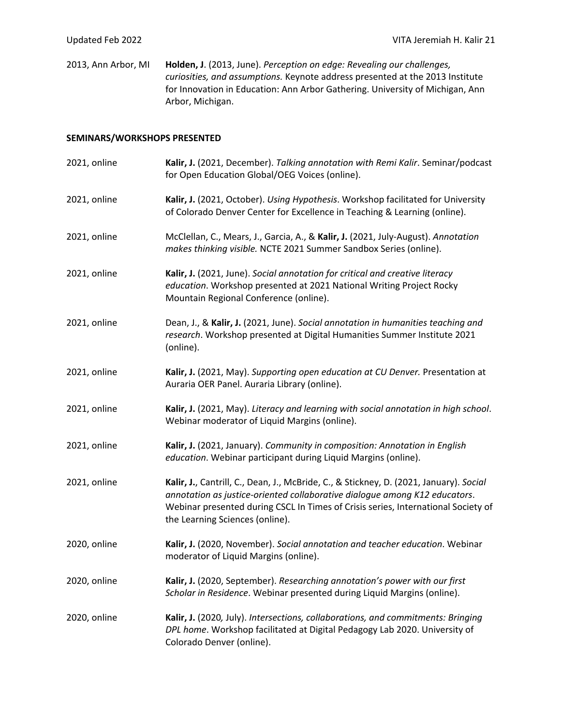2013, Ann Arbor, MI **Holden, J**. (2013, June). *Perception on edge: Revealing our challenges, curiosities, and assumptions.* Keynote address presented at the 2013 Institute for Innovation in Education: Ann Arbor Gathering. University of Michigan, Ann Arbor, Michigan.

#### **SEMINARS/WORKSHOPS PRESENTED**

| 2021, online | Kalir, J. (2021, December). Talking annotation with Remi Kalir. Seminar/podcast<br>for Open Education Global/OEG Voices (online).                                                                                                                                                            |
|--------------|----------------------------------------------------------------------------------------------------------------------------------------------------------------------------------------------------------------------------------------------------------------------------------------------|
| 2021, online | Kalir, J. (2021, October). Using Hypothesis. Workshop facilitated for University<br>of Colorado Denver Center for Excellence in Teaching & Learning (online).                                                                                                                                |
| 2021, online | McClellan, C., Mears, J., Garcia, A., & Kalir, J. (2021, July-August). Annotation<br>makes thinking visible. NCTE 2021 Summer Sandbox Series (online).                                                                                                                                       |
| 2021, online | Kalir, J. (2021, June). Social annotation for critical and creative literacy<br>education. Workshop presented at 2021 National Writing Project Rocky<br>Mountain Regional Conference (online).                                                                                               |
| 2021, online | Dean, J., & Kalir, J. (2021, June). Social annotation in humanities teaching and<br>research. Workshop presented at Digital Humanities Summer Institute 2021<br>(online).                                                                                                                    |
| 2021, online | Kalir, J. (2021, May). Supporting open education at CU Denver. Presentation at<br>Auraria OER Panel. Auraria Library (online).                                                                                                                                                               |
| 2021, online | Kalir, J. (2021, May). Literacy and learning with social annotation in high school.<br>Webinar moderator of Liquid Margins (online).                                                                                                                                                         |
| 2021, online | Kalir, J. (2021, January). Community in composition: Annotation in English<br>education. Webinar participant during Liquid Margins (online).                                                                                                                                                 |
| 2021, online | Kalir, J., Cantrill, C., Dean, J., McBride, C., & Stickney, D. (2021, January). Social<br>annotation as justice-oriented collaborative dialogue among K12 educators.<br>Webinar presented during CSCL In Times of Crisis series, International Society of<br>the Learning Sciences (online). |
| 2020, online | Kalir, J. (2020, November). Social annotation and teacher education. Webinar<br>moderator of Liquid Margins (online).                                                                                                                                                                        |
| 2020, online | Kalir, J. (2020, September). Researching annotation's power with our first<br>Scholar in Residence. Webinar presented during Liquid Margins (online).                                                                                                                                        |
| 2020, online | Kalir, J. (2020, July). Intersections, collaborations, and commitments: Bringing<br>DPL home. Workshop facilitated at Digital Pedagogy Lab 2020. University of<br>Colorado Denver (online).                                                                                                  |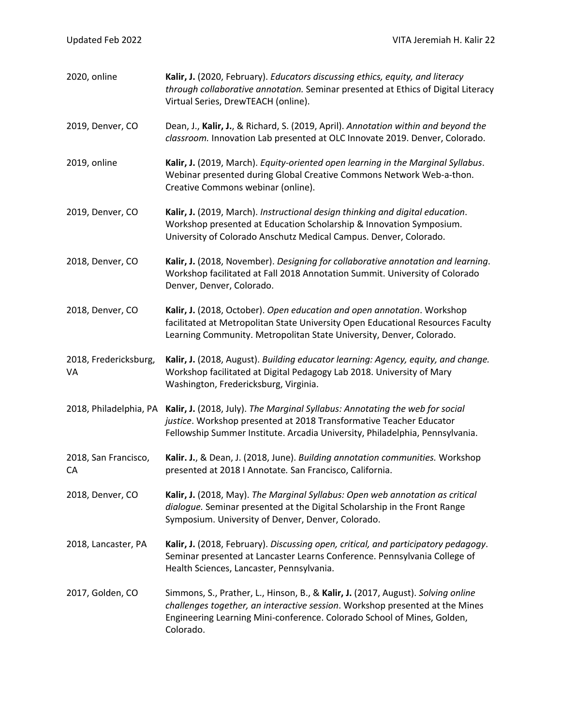| 2020, online                | Kalir, J. (2020, February). Educators discussing ethics, equity, and literacy<br>through collaborative annotation. Seminar presented at Ethics of Digital Literacy<br>Virtual Series, DrewTEACH (online).                                                |
|-----------------------------|----------------------------------------------------------------------------------------------------------------------------------------------------------------------------------------------------------------------------------------------------------|
| 2019, Denver, CO            | Dean, J., Kalir, J., & Richard, S. (2019, April). Annotation within and beyond the<br>classroom. Innovation Lab presented at OLC Innovate 2019. Denver, Colorado.                                                                                        |
| 2019, online                | Kalir, J. (2019, March). Equity-oriented open learning in the Marginal Syllabus.<br>Webinar presented during Global Creative Commons Network Web-a-thon.<br>Creative Commons webinar (online).                                                           |
| 2019, Denver, CO            | Kalir, J. (2019, March). Instructional design thinking and digital education.<br>Workshop presented at Education Scholarship & Innovation Symposium.<br>University of Colorado Anschutz Medical Campus. Denver, Colorado.                                |
| 2018, Denver, CO            | Kalir, J. (2018, November). Designing for collaborative annotation and learning.<br>Workshop facilitated at Fall 2018 Annotation Summit. University of Colorado<br>Denver, Denver, Colorado.                                                             |
| 2018, Denver, CO            | Kalir, J. (2018, October). Open education and open annotation. Workshop<br>facilitated at Metropolitan State University Open Educational Resources Faculty<br>Learning Community. Metropolitan State University, Denver, Colorado.                       |
| 2018, Fredericksburg,<br>VA | Kalir, J. (2018, August). Building educator learning: Agency, equity, and change.<br>Workshop facilitated at Digital Pedagogy Lab 2018. University of Mary<br>Washington, Fredericksburg, Virginia.                                                      |
| 2018, Philadelphia, PA      | Kalir, J. (2018, July). The Marginal Syllabus: Annotating the web for social<br>justice. Workshop presented at 2018 Transformative Teacher Educator<br>Fellowship Summer Institute. Arcadia University, Philadelphia, Pennsylvania.                      |
| 2018, San Francisco,<br>CA  | Kalir. J., & Dean, J. (2018, June). Building annotation communities. Workshop<br>presented at 2018 I Annotate. San Francisco, California.                                                                                                                |
| 2018, Denver, CO            | Kalir, J. (2018, May). The Marginal Syllabus: Open web annotation as critical<br>dialogue. Seminar presented at the Digital Scholarship in the Front Range<br>Symposium. University of Denver, Denver, Colorado.                                         |
| 2018, Lancaster, PA         | Kalir, J. (2018, February). Discussing open, critical, and participatory pedagogy.<br>Seminar presented at Lancaster Learns Conference. Pennsylvania College of<br>Health Sciences, Lancaster, Pennsylvania.                                             |
| 2017, Golden, CO            | Simmons, S., Prather, L., Hinson, B., & Kalir, J. (2017, August). Solving online<br>challenges together, an interactive session. Workshop presented at the Mines<br>Engineering Learning Mini-conference. Colorado School of Mines, Golden,<br>Colorado. |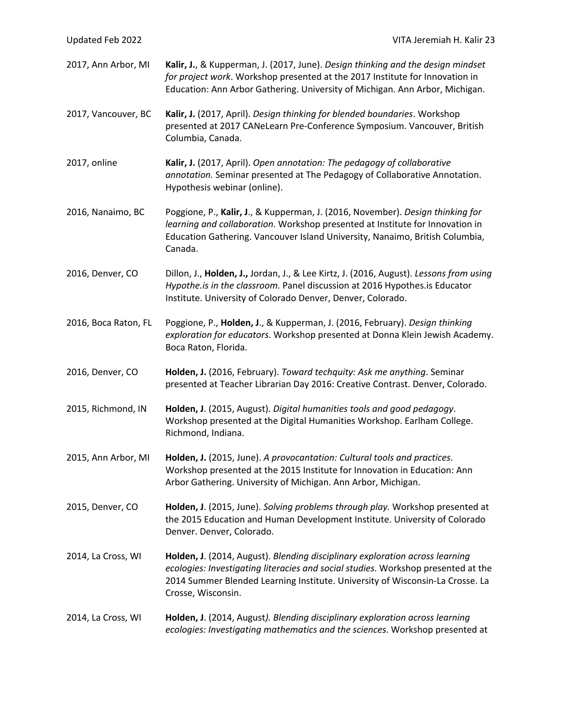| Updated Feb 2022     | VITA Jeremiah H. Kalir 23                                                                                                                                                                                                                                                |
|----------------------|--------------------------------------------------------------------------------------------------------------------------------------------------------------------------------------------------------------------------------------------------------------------------|
| 2017, Ann Arbor, MI  | Kalir, J., & Kupperman, J. (2017, June). Design thinking and the design mindset<br>for project work. Workshop presented at the 2017 Institute for Innovation in<br>Education: Ann Arbor Gathering. University of Michigan. Ann Arbor, Michigan.                          |
| 2017, Vancouver, BC  | Kalir, J. (2017, April). Design thinking for blended boundaries. Workshop<br>presented at 2017 CANeLearn Pre-Conference Symposium. Vancouver, British<br>Columbia, Canada.                                                                                               |
| 2017, online         | Kalir, J. (2017, April). Open annotation: The pedagogy of collaborative<br>annotation. Seminar presented at The Pedagogy of Collaborative Annotation.<br>Hypothesis webinar (online).                                                                                    |
| 2016, Nanaimo, BC    | Poggione, P., Kalir, J., & Kupperman, J. (2016, November). Design thinking for<br>learning and collaboration. Workshop presented at Institute for Innovation in<br>Education Gathering. Vancouver Island University, Nanaimo, British Columbia,<br>Canada.               |
| 2016, Denver, CO     | Dillon, J., Holden, J., Jordan, J., & Lee Kirtz, J. (2016, August). Lessons from using<br>Hypothe.is in the classroom. Panel discussion at 2016 Hypothes.is Educator<br>Institute. University of Colorado Denver, Denver, Colorado.                                      |
| 2016, Boca Raton, FL | Poggione, P., Holden, J., & Kupperman, J. (2016, February). Design thinking<br>exploration for educators. Workshop presented at Donna Klein Jewish Academy.<br>Boca Raton, Florida.                                                                                      |
| 2016, Denver, CO     | Holden, J. (2016, February). Toward techquity: Ask me anything. Seminar<br>presented at Teacher Librarian Day 2016: Creative Contrast. Denver, Colorado.                                                                                                                 |
| 2015, Richmond, IN   | Holden, J. (2015, August). Digital humanities tools and good pedagogy.<br>Workshop presented at the Digital Humanities Workshop. Earlham College.<br>Richmond, Indiana.                                                                                                  |
| 2015, Ann Arbor, MI  | Holden, J. (2015, June). A provocantation: Cultural tools and practices.<br>Workshop presented at the 2015 Institute for Innovation in Education: Ann<br>Arbor Gathering. University of Michigan. Ann Arbor, Michigan.                                                   |
| 2015, Denver, CO     | Holden, J. (2015, June). Solving problems through play. Workshop presented at<br>the 2015 Education and Human Development Institute. University of Colorado<br>Denver. Denver, Colorado.                                                                                 |
| 2014, La Cross, WI   | Holden, J. (2014, August). Blending disciplinary exploration across learning<br>ecologies: Investigating literacies and social studies. Workshop presented at the<br>2014 Summer Blended Learning Institute. University of Wisconsin-La Crosse. La<br>Crosse, Wisconsin. |
| 2014, La Cross, WI   | Holden, J. (2014, August). Blending disciplinary exploration across learning<br>ecologies: Investigating mathematics and the sciences. Workshop presented at                                                                                                             |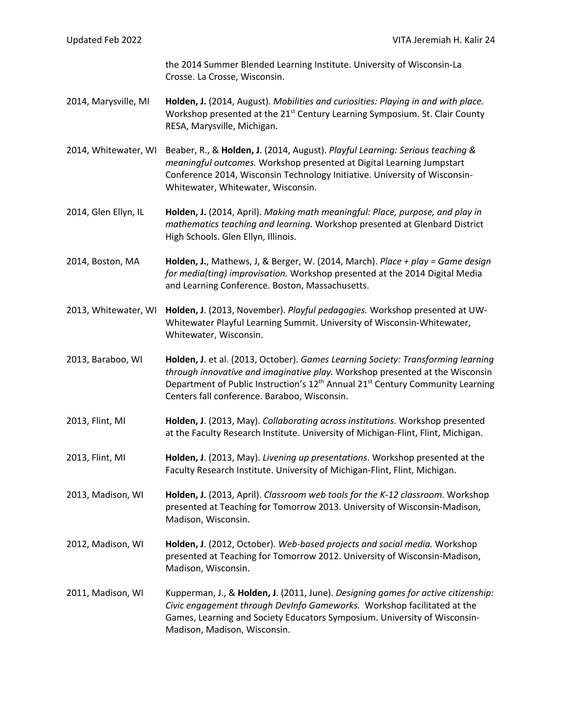| Updated Feb 2022     | VITA Jeremiah H. Kalir 24                                                                                                                                                                                                                                                                                                  |
|----------------------|----------------------------------------------------------------------------------------------------------------------------------------------------------------------------------------------------------------------------------------------------------------------------------------------------------------------------|
|                      | the 2014 Summer Blended Learning Institute. University of Wisconsin-La<br>Crosse. La Crosse, Wisconsin.                                                                                                                                                                                                                    |
| 2014, Marysville, MI | Holden, J. (2014, August). Mobilities and curiosities: Playing in and with place.<br>Workshop presented at the 21 <sup>st</sup> Century Learning Symposium. St. Clair County<br>RESA, Marysville, Michigan.                                                                                                                |
| 2014, Whitewater, WI | Beaber, R., & Holden, J. (2014, August). Playful Learning: Serious teaching &<br>meaningful outcomes. Workshop presented at Digital Learning Jumpstart<br>Conference 2014, Wisconsin Technology Initiative. University of Wisconsin-<br>Whitewater, Whitewater, Wisconsin.                                                 |
| 2014, Glen Ellyn, IL | Holden, J. (2014, April). Making math meaningful: Place, purpose, and play in<br>mathematics teaching and learning. Workshop presented at Glenbard District<br>High Schools. Glen Ellyn, Illinois.                                                                                                                         |
| 2014, Boston, MA     | Holden, J., Mathews, J, & Berger, W. (2014, March). Place + play = Game design<br>for media(ting) improvisation. Workshop presented at the 2014 Digital Media<br>and Learning Conference. Boston, Massachusetts.                                                                                                           |
| 2013, Whitewater, WI | Holden, J. (2013, November). Playful pedagogies. Workshop presented at UW-<br>Whitewater Playful Learning Summit. University of Wisconsin-Whitewater,<br>Whitewater, Wisconsin.                                                                                                                                            |
| 2013, Baraboo, WI    | Holden, J. et al. (2013, October). Games Learning Society: Transforming learning<br>through innovative and imaginative play. Workshop presented at the Wisconsin<br>Department of Public Instruction's 12 <sup>th</sup> Annual 21 <sup>st</sup> Century Community Learning<br>Centers fall conference. Baraboo, Wisconsin. |
| 2013, Flint, MI      | Holden, J. (2013, May). Collaborating across institutions. Workshop presented<br>at the Faculty Research Institute. University of Michigan-Flint, Flint, Michigan.                                                                                                                                                         |
| 2013, Flint, MI      | Holden, J. (2013, May). Livening up presentations. Workshop presented at the<br>Faculty Research Institute. University of Michigan-Flint, Flint, Michigan.                                                                                                                                                                 |
| 2013, Madison, WI    | Holden, J. (2013, April). Classroom web tools for the K-12 classroom. Workshop<br>presented at Teaching for Tomorrow 2013. University of Wisconsin-Madison,<br>Madison, Wisconsin.                                                                                                                                         |
| 2012, Madison, WI    | Holden, J. (2012, October). Web-based projects and social media. Workshop<br>presented at Teaching for Tomorrow 2012. University of Wisconsin-Madison,<br>Madison, Wisconsin.                                                                                                                                              |
| 2011, Madison, WI    | Kupperman, J., & Holden, J. (2011, June). Designing games for active citizenship:<br>Civic engagement through DevInfo Gameworks. Workshop facilitated at the<br>Games, Learning and Society Educators Symposium. University of Wisconsin-<br>Madison, Madison, Wisconsin.                                                  |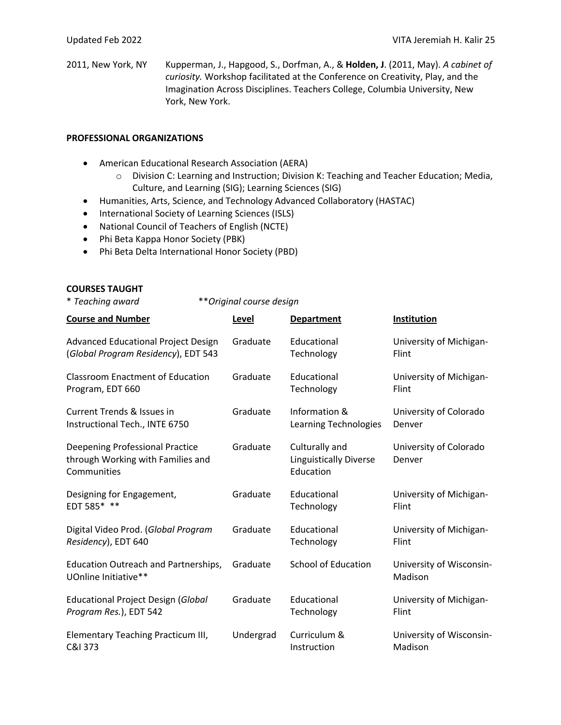2011, New York, NY Kupperman, J., Hapgood, S., Dorfman, A., & **Holden, J**. (2011, May). *A cabinet of curiosity.* Workshop facilitated at the Conference on Creativity, Play, and the Imagination Across Disciplines. Teachers College, Columbia University, New York, New York.

#### **PROFESSIONAL ORGANIZATIONS**

- American Educational Research Association (AERA)
	- o Division C: Learning and Instruction; Division K: Teaching and Teacher Education; Media, Culture, and Learning (SIG); Learning Sciences (SIG)
- Humanities, Arts, Science, and Technology Advanced Collaboratory (HASTAC)
- International Society of Learning Sciences (ISLS)
- National Council of Teachers of English (NCTE)
- Phi Beta Kappa Honor Society (PBK)
- Phi Beta Delta International Honor Society (PBD)

### **COURSES TAUGHT**

\* *Teaching award* \*\**Original course design*

| <b>Course and Number</b>                                                            | Level     | <b>Department</b>                                            | Institution                         |
|-------------------------------------------------------------------------------------|-----------|--------------------------------------------------------------|-------------------------------------|
| <b>Advanced Educational Project Design</b>                                          | Graduate  | Educational                                                  | University of Michigan-             |
| (Global Program Residency), EDT 543                                                 |           | Technology                                                   | Flint                               |
| <b>Classroom Enactment of Education</b>                                             | Graduate  | Educational                                                  | University of Michigan-             |
| Program, EDT 660                                                                    |           | Technology                                                   | Flint                               |
| Current Trends & Issues in                                                          | Graduate  | Information &                                                | University of Colorado              |
| Instructional Tech., INTE 6750                                                      |           | Learning Technologies                                        | Denver                              |
| Deepening Professional Practice<br>through Working with Families and<br>Communities | Graduate  | Culturally and<br><b>Linguistically Diverse</b><br>Education | University of Colorado<br>Denver    |
| Designing for Engagement,                                                           | Graduate  | Educational                                                  | University of Michigan-             |
| EDT 585* **                                                                         |           | Technology                                                   | Flint                               |
| Digital Video Prod. (Global Program                                                 | Graduate  | Educational                                                  | University of Michigan-             |
| Residency), EDT 640                                                                 |           | Technology                                                   | Flint                               |
| <b>Education Outreach and Partnerships,</b><br>UOnline Initiative**                 | Graduate  | <b>School of Education</b>                                   | University of Wisconsin-<br>Madison |
| <b>Educational Project Design (Global</b>                                           | Graduate  | Educational                                                  | University of Michigan-             |
| Program Res.), EDT 542                                                              |           | Technology                                                   | Flint                               |
| Elementary Teaching Practicum III,                                                  | Undergrad | Curriculum &                                                 | University of Wisconsin-            |
| C&I 373                                                                             |           | Instruction                                                  | Madison                             |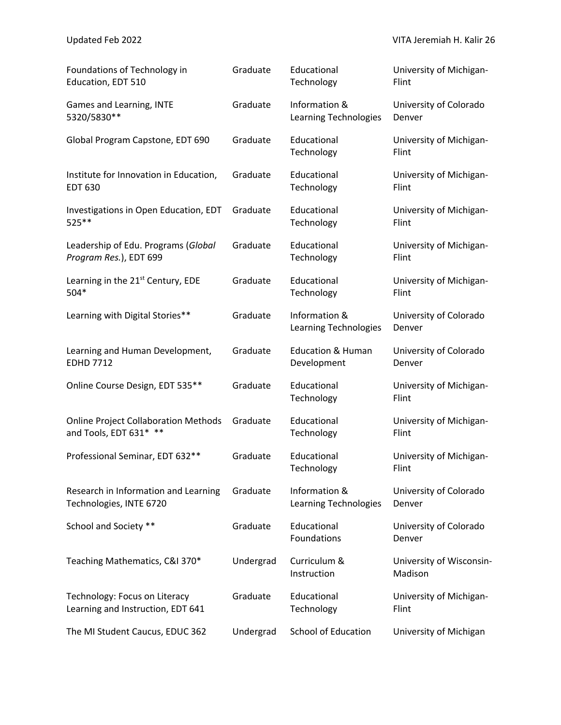| Foundations of Technology in                  | Graduate  | Educational                            | University of Michigan-             |
|-----------------------------------------------|-----------|----------------------------------------|-------------------------------------|
| Education, EDT 510                            |           | Technology                             | Flint                               |
| Games and Learning, INTE                      | Graduate  | Information &                          | University of Colorado              |
| 5320/5830**                                   |           | Learning Technologies                  | Denver                              |
| Global Program Capstone, EDT 690              | Graduate  | Educational<br>Technology              | University of Michigan-<br>Flint    |
| Institute for Innovation in Education,        | Graduate  | Educational                            | University of Michigan-             |
| <b>EDT 630</b>                                |           | Technology                             | Flint                               |
| Investigations in Open Education, EDT         | Graduate  | Educational                            | University of Michigan-             |
| 525 **                                        |           | Technology                             | Flint                               |
| Leadership of Edu. Programs (Global           | Graduate  | Educational                            | University of Michigan-             |
| Program Res.), EDT 699                        |           | Technology                             | Flint                               |
| Learning in the 21 <sup>st</sup> Century, EDE | Graduate  | Educational                            | University of Michigan-             |
| 504*                                          |           | Technology                             | Flint                               |
| Learning with Digital Stories**               | Graduate  | Information &<br>Learning Technologies | University of Colorado<br>Denver    |
| Learning and Human Development,               | Graduate  | <b>Education &amp; Human</b>           | University of Colorado              |
| <b>EDHD 7712</b>                              |           | Development                            | Denver                              |
| Online Course Design, EDT 535**               | Graduate  | Educational<br>Technology              | University of Michigan-<br>Flint    |
| <b>Online Project Collaboration Methods</b>   | Graduate  | Educational                            | University of Michigan-             |
| and Tools, EDT 631* **                        |           | Technology                             | Flint                               |
| Professional Seminar, EDT 632**               | Graduate  | Educational<br>Technology              | University of Michigan-<br>Flint    |
| Research in Information and Learning          | Graduate  | Information &                          | University of Colorado              |
| Technologies, INTE 6720                       |           | Learning Technologies                  | Denver                              |
| School and Society **                         | Graduate  | Educational<br>Foundations             | University of Colorado<br>Denver    |
| Teaching Mathematics, C&I 370*                | Undergrad | Curriculum &<br>Instruction            | University of Wisconsin-<br>Madison |
| Technology: Focus on Literacy                 | Graduate  | Educational                            | University of Michigan-             |
| Learning and Instruction, EDT 641             |           | Technology                             | Flint                               |
| The MI Student Caucus, EDUC 362               | Undergrad | School of Education                    | University of Michigan              |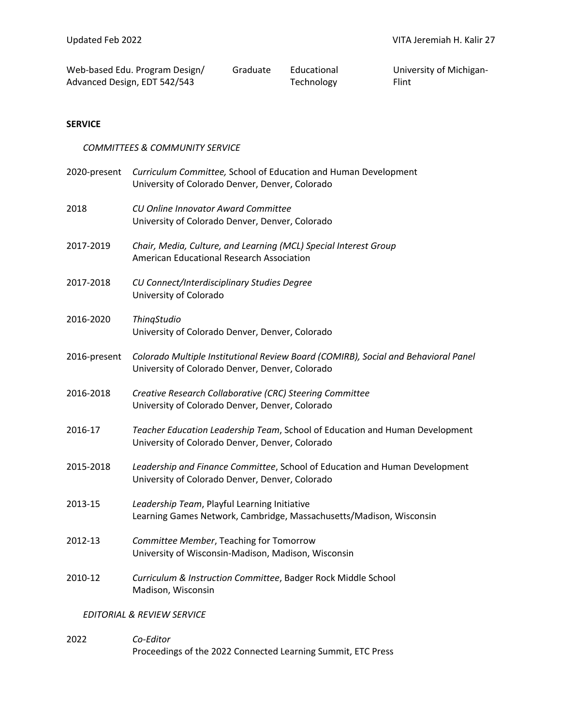| Web-based Edu. Program Design/ | Graduate | Educational |
|--------------------------------|----------|-------------|
| Advanced Design, EDT 542/543   |          | Technology  |

University of Michigan-Flint

#### **SERVICE**

#### *COMMITTEES & COMMUNITY SERVICE*

|              | 2020-present Curriculum Committee, School of Education and Human Development<br>University of Colorado Denver, Denver, Colorado       |
|--------------|---------------------------------------------------------------------------------------------------------------------------------------|
| 2018         | CU Online Innovator Award Committee<br>University of Colorado Denver, Denver, Colorado                                                |
| 2017-2019    | Chair, Media, Culture, and Learning (MCL) Special Interest Group<br>American Educational Research Association                         |
| 2017-2018    | CU Connect/Interdisciplinary Studies Degree<br>University of Colorado                                                                 |
| 2016-2020    | ThingStudio<br>University of Colorado Denver, Denver, Colorado                                                                        |
| 2016-present | Colorado Multiple Institutional Review Board (COMIRB), Social and Behavioral Panel<br>University of Colorado Denver, Denver, Colorado |
| 2016-2018    | Creative Research Collaborative (CRC) Steering Committee<br>University of Colorado Denver, Denver, Colorado                           |
| 2016-17      | Teacher Education Leadership Team, School of Education and Human Development<br>University of Colorado Denver, Denver, Colorado       |
| 2015-2018    | Leadership and Finance Committee, School of Education and Human Development<br>University of Colorado Denver, Denver, Colorado        |
| 2013-15      | Leadership Team, Playful Learning Initiative<br>Learning Games Network, Cambridge, Massachusetts/Madison, Wisconsin                   |
| 2012-13      | Committee Member, Teaching for Tomorrow<br>University of Wisconsin-Madison, Madison, Wisconsin                                        |
| 2010-12      | Curriculum & Instruction Committee, Badger Rock Middle School<br>Madison, Wisconsin                                                   |
|              | <b>EDITORIAL &amp; REVIEW SERVICE</b>                                                                                                 |

2022 *Co-Editor* Proceedings of the 2022 Connected Learning Summit, ETC Press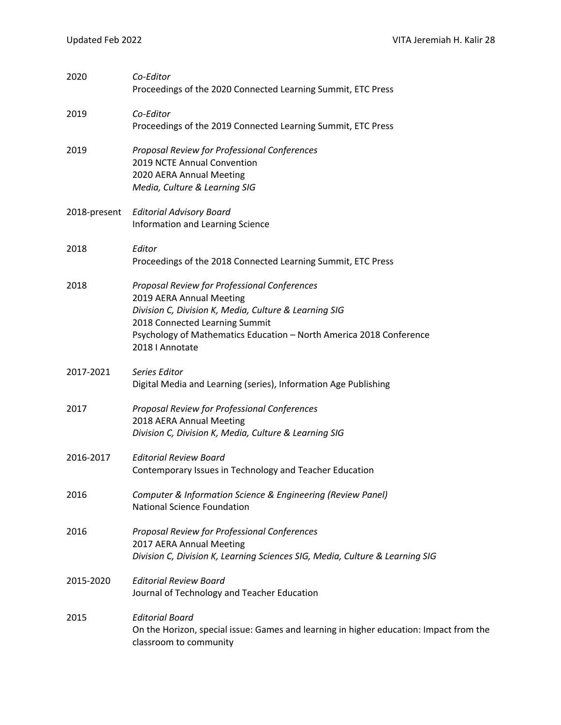| 2020         | Co-Editor<br>Proceedings of the 2020 Connected Learning Summit, ETC Press                                                                                                                                                                                     |
|--------------|---------------------------------------------------------------------------------------------------------------------------------------------------------------------------------------------------------------------------------------------------------------|
| 2019         | Co-Editor<br>Proceedings of the 2019 Connected Learning Summit, ETC Press                                                                                                                                                                                     |
| 2019         | Proposal Review for Professional Conferences<br>2019 NCTE Annual Convention<br>2020 AERA Annual Meeting<br>Media, Culture & Learning SIG                                                                                                                      |
| 2018-present | <b>Editorial Advisory Board</b><br>Information and Learning Science                                                                                                                                                                                           |
| 2018         | Editor<br>Proceedings of the 2018 Connected Learning Summit, ETC Press                                                                                                                                                                                        |
| 2018         | Proposal Review for Professional Conferences<br>2019 AERA Annual Meeting<br>Division C, Division K, Media, Culture & Learning SIG<br>2018 Connected Learning Summit<br>Psychology of Mathematics Education - North America 2018 Conference<br>2018   Annotate |
| 2017-2021    | Series Editor<br>Digital Media and Learning (series), Information Age Publishing                                                                                                                                                                              |
| 2017         | Proposal Review for Professional Conferences<br>2018 AERA Annual Meeting<br>Division C, Division K, Media, Culture & Learning SIG                                                                                                                             |
| 2016-2017    | <b>Editorial Review Board</b><br>Contemporary Issues in Technology and Teacher Education                                                                                                                                                                      |
| 2016         | Computer & Information Science & Engineering (Review Panel)<br><b>National Science Foundation</b>                                                                                                                                                             |
| 2016         | Proposal Review for Professional Conferences<br>2017 AERA Annual Meeting<br>Division C, Division K, Learning Sciences SIG, Media, Culture & Learning SIG                                                                                                      |
| 2015-2020    | <b>Editorial Review Board</b><br>Journal of Technology and Teacher Education                                                                                                                                                                                  |
| 2015         | <b>Editorial Board</b><br>On the Horizon, special issue: Games and learning in higher education: Impact from the<br>classroom to community                                                                                                                    |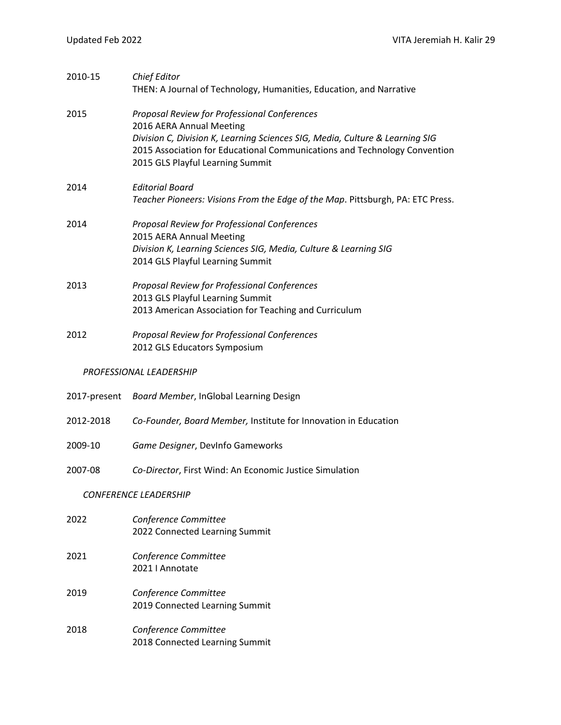| 2010-15      | <b>Chief Editor</b><br>THEN: A Journal of Technology, Humanities, Education, and Narrative                                                                                                                                                                                |
|--------------|---------------------------------------------------------------------------------------------------------------------------------------------------------------------------------------------------------------------------------------------------------------------------|
| 2015         | Proposal Review for Professional Conferences<br>2016 AERA Annual Meeting<br>Division C, Division K, Learning Sciences SIG, Media, Culture & Learning SIG<br>2015 Association for Educational Communications and Technology Convention<br>2015 GLS Playful Learning Summit |
| 2014         | <b>Editorial Board</b><br>Teacher Pioneers: Visions From the Edge of the Map. Pittsburgh, PA: ETC Press.                                                                                                                                                                  |
| 2014         | Proposal Review for Professional Conferences<br>2015 AERA Annual Meeting<br>Division K, Learning Sciences SIG, Media, Culture & Learning SIG<br>2014 GLS Playful Learning Summit                                                                                          |
| 2013         | Proposal Review for Professional Conferences<br>2013 GLS Playful Learning Summit<br>2013 American Association for Teaching and Curriculum                                                                                                                                 |
| 2012         | Proposal Review for Professional Conferences<br>2012 GLS Educators Symposium                                                                                                                                                                                              |
|              | PROFESSIONAL LEADERSHIP                                                                                                                                                                                                                                                   |
| 2017-present | Board Member, InGlobal Learning Design                                                                                                                                                                                                                                    |
| 2012-2018    | Co-Founder, Board Member, Institute for Innovation in Education                                                                                                                                                                                                           |
| 2009-10      | Game Designer, DevInfo Gameworks                                                                                                                                                                                                                                          |
| 2007-08      | Co-Director, First Wind: An Economic Justice Simulation                                                                                                                                                                                                                   |
|              | <b>CONFERENCE LEADERSHIP</b>                                                                                                                                                                                                                                              |
| 2022         | Conference Committee<br>2022 Connected Learning Summit                                                                                                                                                                                                                    |
| 2021         | Conference Committee<br>2021   Annotate                                                                                                                                                                                                                                   |
| 2019         | Conference Committee<br>2019 Connected Learning Summit                                                                                                                                                                                                                    |
| 2018         | Conference Committee<br>2018 Connected Learning Summit                                                                                                                                                                                                                    |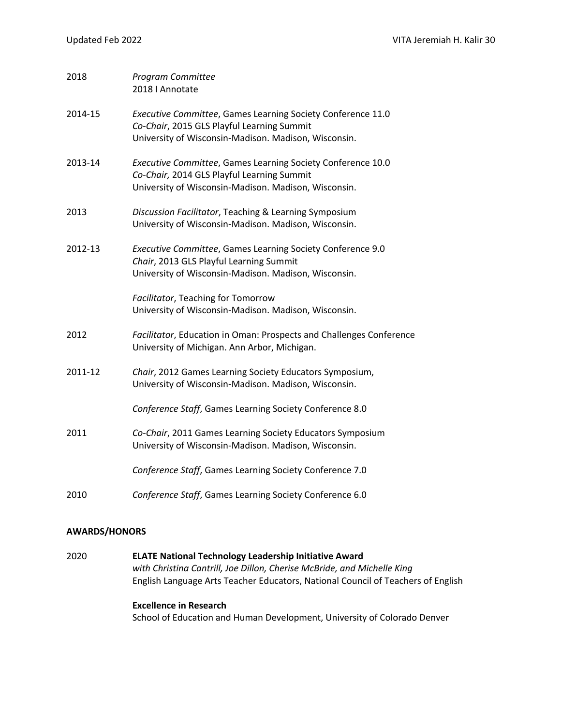| 2018    | Program Committee<br>2018   Annotate                                                                                                                              |
|---------|-------------------------------------------------------------------------------------------------------------------------------------------------------------------|
| 2014-15 | Executive Committee, Games Learning Society Conference 11.0<br>Co-Chair, 2015 GLS Playful Learning Summit<br>University of Wisconsin-Madison. Madison, Wisconsin. |
| 2013-14 | Executive Committee, Games Learning Society Conference 10.0<br>Co-Chair, 2014 GLS Playful Learning Summit<br>University of Wisconsin-Madison. Madison, Wisconsin. |
| 2013    | Discussion Facilitator, Teaching & Learning Symposium<br>University of Wisconsin-Madison. Madison, Wisconsin.                                                     |
| 2012-13 | Executive Committee, Games Learning Society Conference 9.0<br>Chair, 2013 GLS Playful Learning Summit<br>University of Wisconsin-Madison. Madison, Wisconsin.     |
|         | Facilitator, Teaching for Tomorrow<br>University of Wisconsin-Madison. Madison, Wisconsin.                                                                        |
| 2012    | Facilitator, Education in Oman: Prospects and Challenges Conference<br>University of Michigan. Ann Arbor, Michigan.                                               |
| 2011-12 | Chair, 2012 Games Learning Society Educators Symposium,<br>University of Wisconsin-Madison. Madison, Wisconsin.                                                   |
|         | Conference Staff, Games Learning Society Conference 8.0                                                                                                           |
| 2011    | Co-Chair, 2011 Games Learning Society Educators Symposium<br>University of Wisconsin-Madison. Madison, Wisconsin.                                                 |
|         | Conference Staff, Games Learning Society Conference 7.0                                                                                                           |
| 2010    | Conference Staff, Games Learning Society Conference 6.0                                                                                                           |

#### **AWARDS/HONORS**

2020 **ELATE National Technology Leadership Initiative Award** *with Christina Cantrill, Joe Dillon, Cherise McBride, and Michelle King* English Language Arts Teacher Educators, National Council of Teachers of English

# **Excellence in Research**

School of Education and Human Development, University of Colorado Denver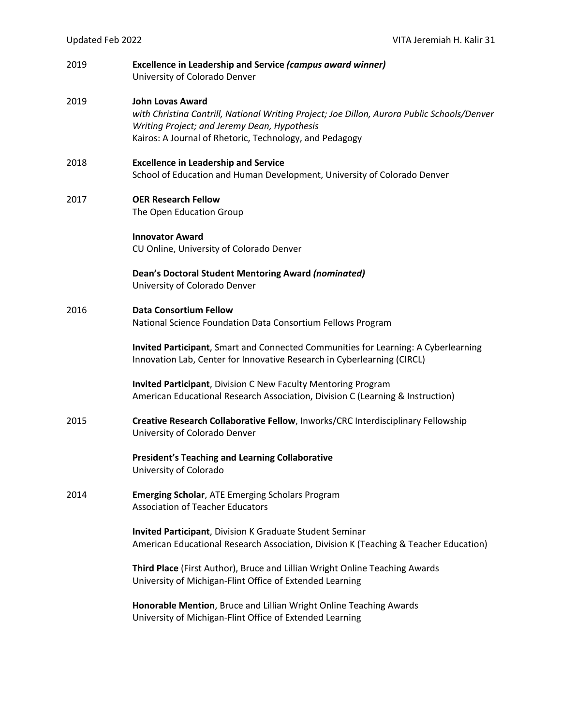| 2019 | <b>Excellence in Leadership and Service (campus award winner)</b><br>University of Colorado Denver                                                                                                                                |
|------|-----------------------------------------------------------------------------------------------------------------------------------------------------------------------------------------------------------------------------------|
| 2019 | <b>John Lovas Award</b><br>with Christina Cantrill, National Writing Project; Joe Dillon, Aurora Public Schools/Denver<br>Writing Project; and Jeremy Dean, Hypothesis<br>Kairos: A Journal of Rhetoric, Technology, and Pedagogy |
| 2018 | <b>Excellence in Leadership and Service</b><br>School of Education and Human Development, University of Colorado Denver                                                                                                           |
| 2017 | <b>OER Research Fellow</b><br>The Open Education Group                                                                                                                                                                            |
|      | <b>Innovator Award</b><br>CU Online, University of Colorado Denver                                                                                                                                                                |
|      | <b>Dean's Doctoral Student Mentoring Award (nominated)</b><br>University of Colorado Denver                                                                                                                                       |
| 2016 | <b>Data Consortium Fellow</b><br>National Science Foundation Data Consortium Fellows Program                                                                                                                                      |
|      | Invited Participant, Smart and Connected Communities for Learning: A Cyberlearning<br>Innovation Lab, Center for Innovative Research in Cyberlearning (CIRCL)                                                                     |
|      | Invited Participant, Division C New Faculty Mentoring Program<br>American Educational Research Association, Division C (Learning & Instruction)                                                                                   |
| 2015 | Creative Research Collaborative Fellow, Inworks/CRC Interdisciplinary Fellowship<br>University of Colorado Denver                                                                                                                 |
|      | <b>President's Teaching and Learning Collaborative</b><br>University of Colorado                                                                                                                                                  |
| 2014 | <b>Emerging Scholar, ATE Emerging Scholars Program</b><br><b>Association of Teacher Educators</b>                                                                                                                                 |
|      | <b>Invited Participant</b> , Division K Graduate Student Seminar<br>American Educational Research Association, Division K (Teaching & Teacher Education)                                                                          |
|      | Third Place (First Author), Bruce and Lillian Wright Online Teaching Awards<br>University of Michigan-Flint Office of Extended Learning                                                                                           |
|      | Honorable Mention, Bruce and Lillian Wright Online Teaching Awards<br>University of Michigan-Flint Office of Extended Learning                                                                                                    |